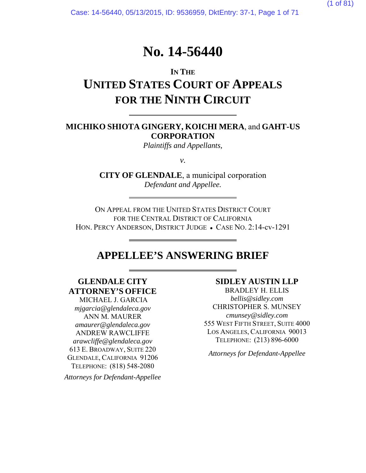Case: 14-56440, 05/13/2015, ID: 9536959, DktEntry: 37-1, Page 1 of 71

# **No. 14-56440**

# **IN THE UNITED STATES COURT OF APPEALS FOR THE NINTH CIRCUIT**

### **MICHIKO SHIOTA GINGERY, KOICHI MERA**, and **GAHT-US CORPORATION**

*Plaintiffs and Appellants,*

*v.* 

**CITY OF GLENDALE**, a municipal corporation *Defendant and Appellee.* 

ON APPEAL FROM THE UNITED STATES DISTRICT COURT FOR THE CENTRAL DISTRICT OF CALIFORNIA HON. PERCY ANDERSON, DISTRICT JUDGE • CASE NO. 2:14-cv-1291

# **APPELLEE'S ANSWERING BRIEF**

# **GLENDALE CITY ATTORNEY'S OFFICE**

l

 MICHAEL J. GARCIA *mjgarcia@glendaleca.gov* ANN M. MAURER *amaurer@glendaleca.gov*  ANDREW RAWCLIFFE *arawcliffe@glendaleca.gov* 613 E. BROADWAY, SUITE 220 GLENDALE, CALIFORNIA 91206 TELEPHONE: (818) 548-2080

*Attorneys for Defendant-Appellee* 

#### **SIDLEY AUSTIN LLP**

BRADLEY H. ELLIS *bellis@sidley.com*  CHRISTOPHER S. MUNSEY *cmunsey@sidley.com* 555 WEST FIFTH STREET, SUITE 4000 LOS ANGELES, CALIFORNIA 90013 TELEPHONE: (213) 896-6000

*Attorneys for Defendant-Appellee*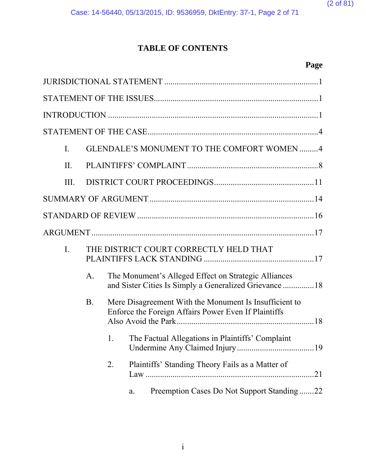

Case: 14-56440, 05/13/2015, ID: 9536959, DktEntry: 37-1, Page 2 of 71

# **TABLE OF CONTENTS**

# **Page**

| $\mathbf{I}$ . |            |    | GLENDALE'S MONUMENT TO THE COMFORT WOMEN4                                                                       |
|----------------|------------|----|-----------------------------------------------------------------------------------------------------------------|
| II.            |            |    |                                                                                                                 |
| III.           |            |    |                                                                                                                 |
|                |            |    |                                                                                                                 |
|                |            |    |                                                                                                                 |
|                |            |    |                                                                                                                 |
| $I_{\cdot}$    |            |    | THE DISTRICT COURT CORRECTLY HELD THAT                                                                          |
|                | A.         |    | The Monument's Alleged Effect on Strategic Alliances<br>and Sister Cities Is Simply a Generalized Grievance  18 |
|                | <b>B</b> . |    | Mere Disagreement With the Monument Is Insufficient to<br>Enforce the Foreign Affairs Power Even If Plaintiffs  |
|                |            | 1. | The Factual Allegations in Plaintiffs' Complaint                                                                |
|                |            | 2. | Plaintiffs' Standing Theory Fails as a Matter of                                                                |
|                |            |    | Preemption Cases Do Not Support Standing22<br>a.                                                                |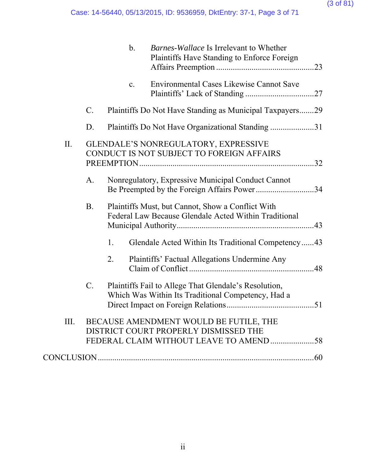### (3 of 81)

|     |                 | $\mathbf b$ .  | <i>Barnes-Wallace</i> Is Irrelevant to Whether<br>Plaintiffs Have Standing to Enforce Foreign               |     |
|-----|-----------------|----------------|-------------------------------------------------------------------------------------------------------------|-----|
|     |                 | $\mathbf{C}$ . | <b>Environmental Cases Likewise Cannot Save</b>                                                             |     |
|     | $\mathbf{C}$ .  |                | Plaintiffs Do Not Have Standing as Municipal Taxpayers29                                                    |     |
|     | D.              |                | Plaintiffs Do Not Have Organizational Standing 31                                                           |     |
| II. |                 |                | GLENDALE'S NONREGULATORY, EXPRESSIVE<br>CONDUCT IS NOT SUBJECT TO FOREIGN AFFAIRS                           |     |
|     | A.              |                | Nonregulatory, Expressive Municipal Conduct Cannot<br>Be Preempted by the Foreign Affairs Power34           |     |
|     | <b>B.</b>       |                | Plaintiffs Must, but Cannot, Show a Conflict With<br>Federal Law Because Glendale Acted Within Traditional  |     |
|     |                 | 1.             | Glendale Acted Within Its Traditional Competency43                                                          |     |
|     |                 | 2.             | Plaintiffs' Factual Allegations Undermine Any                                                               |     |
|     | $\mathcal{C}$ . |                | Plaintiffs Fail to Allege That Glendale's Resolution,<br>Which Was Within Its Traditional Competency, Had a |     |
|     |                 |                | III. BECAUSE AMENDMENT WOULD BE FUTILE, THE<br>DISTRICT COURT PROPERLY DISMISSED THE                        |     |
|     |                 |                |                                                                                                             | .60 |
|     |                 |                |                                                                                                             |     |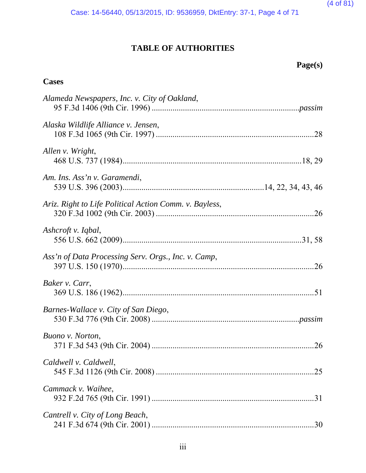(4 of 81)

Case: 14-56440, 05/13/2015, ID: 9536959, DktEntry: 37-1, Page 4 of 71

# **TABLE OF AUTHORITIES**

| age(s) |  |
|--------|--|
|--------|--|

# **Cases**

| Alameda Newspapers, Inc. v. City of Oakland,           |     |
|--------------------------------------------------------|-----|
| Alaska Wildlife Alliance v. Jensen,                    |     |
| Allen v. Wright,                                       |     |
| Am. Ins. Ass'n v. Garamendi,                           |     |
| Ariz. Right to Life Political Action Comm. v. Bayless, |     |
| Ashcroft v. Iqbal,                                     |     |
| Ass'n of Data Processing Serv. Orgs., Inc. v. Camp,    |     |
| Baker v. Carr,                                         |     |
| Barnes-Wallace v. City of San Diego,                   |     |
| Buono v. Norton,                                       |     |
| Caldwell v. Caldwell,                                  | .25 |
| Cammack v. Waihee,                                     | .31 |
| Cantrell v. City of Long Beach,                        |     |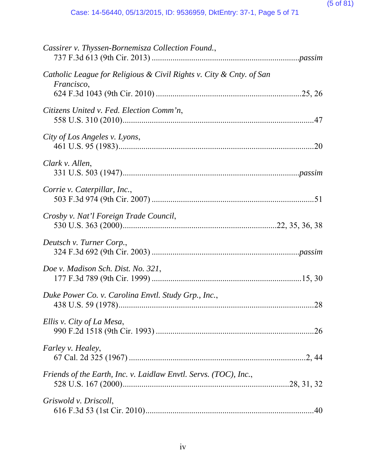| Cassirer v. Thyssen-Bornemisza Collection Found.,                                 |     |
|-----------------------------------------------------------------------------------|-----|
| Catholic League for Religious & Civil Rights v. City & Cnty. of San<br>Francisco, |     |
| Citizens United v. Fed. Election Comm'n,                                          |     |
| City of Los Angeles v. Lyons,                                                     |     |
| Clark v. Allen,                                                                   |     |
| Corrie v. Caterpillar, Inc.,                                                      |     |
| Crosby v. Nat'l Foreign Trade Council,                                            |     |
| Deutsch v. Turner Corp.,                                                          |     |
| Doe v. Madison Sch. Dist. No. 321,                                                |     |
| Duke Power Co. v. Carolina Envtl. Study Grp., Inc.,                               | .28 |
| Ellis v. City of La Mesa,                                                         |     |
| <i>Farley v. Healey,</i>                                                          |     |
| Friends of the Earth, Inc. v. Laidlaw Envtl. Servs. (TOC), Inc.,                  |     |
| Griswold v. Driscoll,                                                             |     |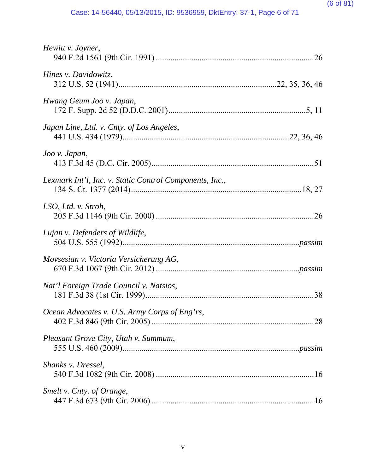| Hewitt v. Joyner,                                       |  |
|---------------------------------------------------------|--|
| Hines v. Davidowitz,                                    |  |
| Hwang Geum Joo v. Japan,                                |  |
| Japan Line, Ltd. v. Cnty. of Los Angeles,               |  |
| Joo v. Japan,                                           |  |
| Lexmark Int'l, Inc. v. Static Control Components, Inc., |  |
| LSO, Ltd. v. Stroh,                                     |  |
| Lujan v. Defenders of Wildlife,                         |  |
| Movsesian v. Victoria Versicherung AG,                  |  |
| Nat'l Foreign Trade Council v. Natsios,                 |  |
| Ocean Advocates v. U.S. Army Corps of Eng'rs,           |  |
| Pleasant Grove City, Utah v. Summum,                    |  |
| Shanks v. Dressel,                                      |  |
| Smelt v. Cnty. of Orange,                               |  |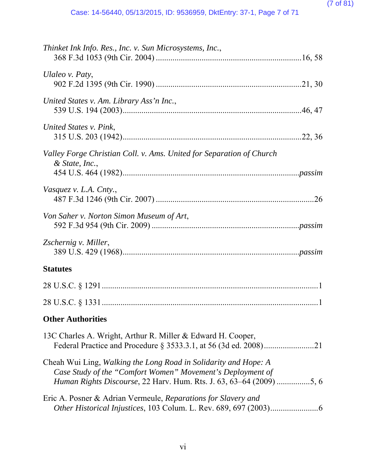| Thinket Ink Info. Res., Inc. v. Sun Microsystems, Inc.,                                                                                                                                                      |
|--------------------------------------------------------------------------------------------------------------------------------------------------------------------------------------------------------------|
| Ulaleo v. Paty,                                                                                                                                                                                              |
| United States v. Am. Library Ass'n Inc.,                                                                                                                                                                     |
| United States v. Pink,                                                                                                                                                                                       |
| Valley Forge Christian Coll. v. Ams. United for Separation of Church<br>$&$ State, Inc.,                                                                                                                     |
| Vasquez v. L.A. Cnty.,                                                                                                                                                                                       |
| Von Saher v. Norton Simon Museum of Art,                                                                                                                                                                     |
| Zschernig v. Miller,                                                                                                                                                                                         |
| <b>Statutes</b>                                                                                                                                                                                              |
|                                                                                                                                                                                                              |
|                                                                                                                                                                                                              |
| <b>Other Authorities</b>                                                                                                                                                                                     |
| 13C Charles A. Wright, Arthur R. Miller & Edward H. Cooper,                                                                                                                                                  |
| Cheah Wui Ling, Walking the Long Road in Solidarity and Hope: A<br>Case Study of the "Comfort Women" Movement's Deployment of<br><i>Human Rights Discourse</i> , 22 Harv. Hum. Rts. J. 63, 63–64 (2009) 5, 6 |
|                                                                                                                                                                                                              |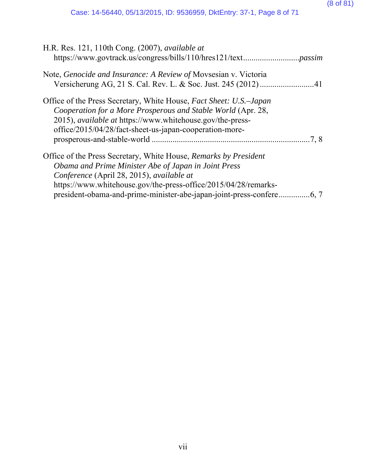| H.R. Res. 121, 110th Cong. (2007), <i>available at</i>                                                                                                                                                                                                            |       |
|-------------------------------------------------------------------------------------------------------------------------------------------------------------------------------------------------------------------------------------------------------------------|-------|
| Note, Genocide and Insurance: A Review of Movsesian v. Victoria                                                                                                                                                                                                   |       |
| Office of the Press Secretary, White House, Fact Sheet: U.S.–Japan<br>Cooperation for a More Prosperous and Stable World (Apr. 28,<br>2015), <i>available at</i> https://www.whitehouse.gov/the-press-<br>office/2015/04/28/fact-sheet-us-japan-cooperation-more- | .7, 8 |
| Office of the Press Secretary, White House, Remarks by President<br>Obama and Prime Minister Abe of Japan in Joint Press<br>Conference (April 28, 2015), available at<br>https://www.whitehouse.gov/the-press-office/2015/04/28/remarks-                          |       |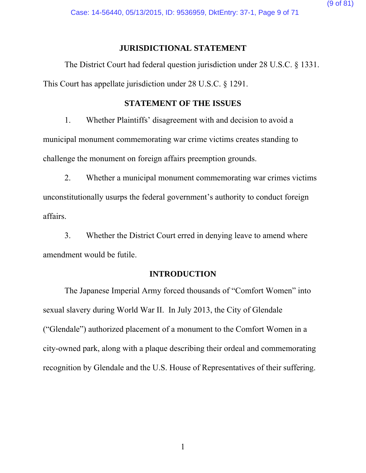Case: 14-56440, 05/13/2015, ID: 9536959, DktEntry: 37-1, Page 9 of 71

### **JURISDICTIONAL STATEMENT**

The District Court had federal question jurisdiction under 28 U.S.C. § 1331. This Court has appellate jurisdiction under 28 U.S.C. § 1291.

### **STATEMENT OF THE ISSUES**

1. Whether Plaintiffs' disagreement with and decision to avoid a municipal monument commemorating war crime victims creates standing to challenge the monument on foreign affairs preemption grounds.

2. Whether a municipal monument commemorating war crimes victims unconstitutionally usurps the federal government's authority to conduct foreign affairs.

3. Whether the District Court erred in denying leave to amend where amendment would be futile.

### **INTRODUCTION**

The Japanese Imperial Army forced thousands of "Comfort Women" into sexual slavery during World War II. In July 2013, the City of Glendale ("Glendale") authorized placement of a monument to the Comfort Women in a city-owned park, along with a plaque describing their ordeal and commemorating recognition by Glendale and the U.S. House of Representatives of their suffering.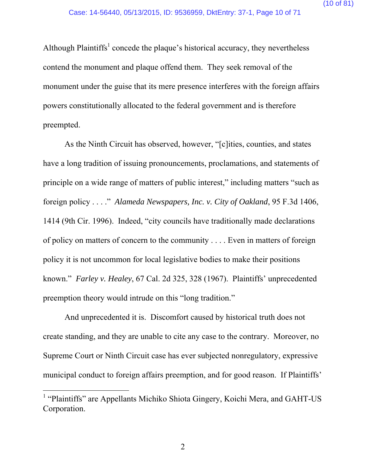Although Plaintiffs<sup>1</sup> concede the plaque's historical accuracy, they nevertheless contend the monument and plaque offend them. They seek removal of the monument under the guise that its mere presence interferes with the foreign affairs powers constitutionally allocated to the federal government and is therefore preempted.

As the Ninth Circuit has observed, however, "[c]ities, counties, and states have a long tradition of issuing pronouncements, proclamations, and statements of principle on a wide range of matters of public interest," including matters "such as foreign policy . . . ." *Alameda Newspapers, Inc. v. City of Oakland*, 95 F.3d 1406, 1414 (9th Cir. 1996). Indeed, "city councils have traditionally made declarations of policy on matters of concern to the community . . . . Even in matters of foreign policy it is not uncommon for local legislative bodies to make their positions known." *Farley v. Healey*, 67 Cal. 2d 325, 328 (1967). Plaintiffs' unprecedented preemption theory would intrude on this "long tradition."

And unprecedented it is. Discomfort caused by historical truth does not create standing, and they are unable to cite any case to the contrary. Moreover, no Supreme Court or Ninth Circuit case has ever subjected nonregulatory, expressive municipal conduct to foreign affairs preemption, and for good reason. If Plaintiffs'

 $\overline{a}$ 

<sup>&</sup>lt;sup>1</sup> "Plaintiffs" are Appellants Michiko Shiota Gingery, Koichi Mera, and GAHT-US Corporation.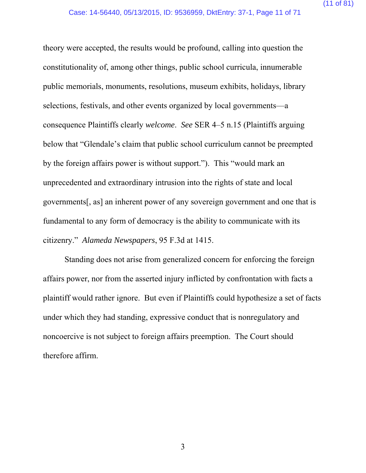theory were accepted, the results would be profound, calling into question the constitutionality of, among other things, public school curricula, innumerable public memorials, monuments, resolutions, museum exhibits, holidays, library selections, festivals, and other events organized by local governments—a consequence Plaintiffs clearly *welcome*. *See* SER 4–5 n.15 (Plaintiffs arguing below that "Glendale's claim that public school curriculum cannot be preempted by the foreign affairs power is without support."). This "would mark an unprecedented and extraordinary intrusion into the rights of state and local governments[, as] an inherent power of any sovereign government and one that is fundamental to any form of democracy is the ability to communicate with its citizenry." *Alameda Newspapers*, 95 F.3d at 1415.

Standing does not arise from generalized concern for enforcing the foreign affairs power, nor from the asserted injury inflicted by confrontation with facts a plaintiff would rather ignore. But even if Plaintiffs could hypothesize a set of facts under which they had standing, expressive conduct that is nonregulatory and noncoercive is not subject to foreign affairs preemption. The Court should therefore affirm.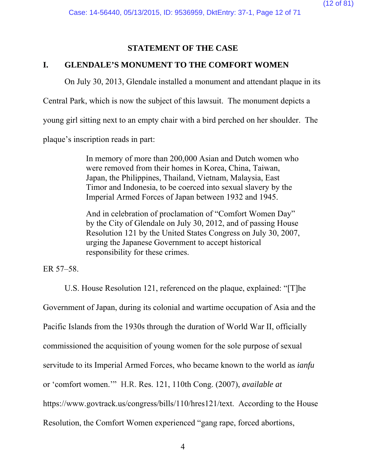### **STATEMENT OF THE CASE**

### **I. GLENDALE'S MONUMENT TO THE COMFORT WOMEN**

On July 30, 2013, Glendale installed a monument and attendant plaque in its

Central Park, which is now the subject of this lawsuit. The monument depicts a

young girl sitting next to an empty chair with a bird perched on her shoulder. The

plaque's inscription reads in part:

In memory of more than 200,000 Asian and Dutch women who were removed from their homes in Korea, China, Taiwan, Japan, the Philippines, Thailand, Vietnam, Malaysia, East Timor and Indonesia, to be coerced into sexual slavery by the Imperial Armed Forces of Japan between 1932 and 1945.

And in celebration of proclamation of "Comfort Women Day" by the City of Glendale on July 30, 2012, and of passing House Resolution 121 by the United States Congress on July 30, 2007, urging the Japanese Government to accept historical responsibility for these crimes.

ER 57–58.

U.S. House Resolution 121, referenced on the plaque, explained: "[T]he Government of Japan, during its colonial and wartime occupation of Asia and the Pacific Islands from the 1930s through the duration of World War II, officially commissioned the acquisition of young women for the sole purpose of sexual servitude to its Imperial Armed Forces, who became known to the world as *ianfu*  or 'comfort women.'" H.R. Res. 121, 110th Cong. (2007), *available at* https://www.govtrack.us/congress/bills/110/hres121/text. According to the House Resolution, the Comfort Women experienced "gang rape, forced abortions,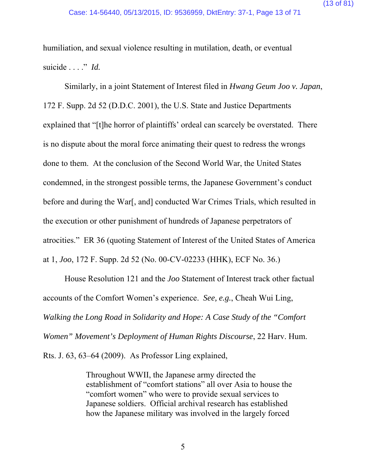humiliation, and sexual violence resulting in mutilation, death, or eventual suicide . . . ." *Id.*

Similarly, in a joint Statement of Interest filed in *Hwang Geum Joo v. Japan*, 172 F. Supp. 2d 52 (D.D.C. 2001), the U.S. State and Justice Departments explained that "[t]he horror of plaintiffs' ordeal can scarcely be overstated. There is no dispute about the moral force animating their quest to redress the wrongs done to them. At the conclusion of the Second World War, the United States condemned, in the strongest possible terms, the Japanese Government's conduct before and during the War[, and] conducted War Crimes Trials, which resulted in the execution or other punishment of hundreds of Japanese perpetrators of atrocities." ER 36 (quoting Statement of Interest of the United States of America at 1, *Joo*, 172 F. Supp. 2d 52 (No. 00-CV-02233 (HHK), ECF No. 36.)

House Resolution 121 and the *Joo* Statement of Interest track other factual accounts of the Comfort Women's experience. *See, e.g.*, Cheah Wui Ling, *Walking the Long Road in Solidarity and Hope: A Case Study of the "Comfort Women" Movement's Deployment of Human Rights Discourse*, 22 Harv. Hum.

Rts. J. 63, 63–64 (2009). As Professor Ling explained,

Throughout WWII, the Japanese army directed the establishment of "comfort stations" all over Asia to house the "comfort women" who were to provide sexual services to Japanese soldiers. Official archival research has established how the Japanese military was involved in the largely forced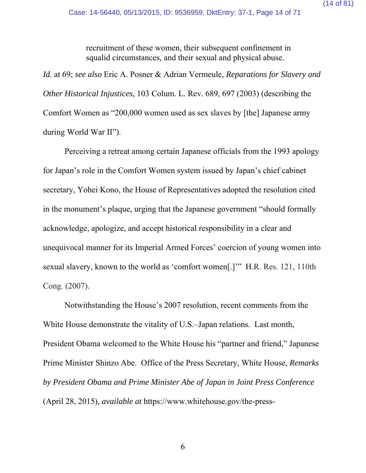recruitment of these women, their subsequent confinement in squalid circumstances, and their sexual and physical abuse.

*Id.* at 69; *see also* Eric A. Posner & Adrian Vermeule, *Reparations for Slavery and Other Historical Injustices*, 103 Colum. L. Rev. 689, 697 (2003) (describing the Comfort Women as "200,000 women used as sex slaves by [the] Japanese army during World War II").

Perceiving a retreat among certain Japanese officials from the 1993 apology for Japan's role in the Comfort Women system issued by Japan's chief cabinet secretary, Yohei Kono, the House of Representatives adopted the resolution cited in the monument's plaque, urging that the Japanese government "should formally acknowledge, apologize, and accept historical responsibility in a clear and unequivocal manner for its Imperial Armed Forces' coercion of young women into sexual slavery, known to the world as 'comfort women[.]'" H.R. Res. 121, 110th Cong. (2007).

Notwithstanding the House's 2007 resolution, recent comments from the White House demonstrate the vitality of U.S.–Japan relations. Last month, President Obama welcomed to the White House his "partner and friend," Japanese Prime Minister Shinzo Abe. Office of the Press Secretary, White House, *Remarks by President Obama and Prime Minister Abe of Japan in Joint Press Conference* (April 28, 2015), *available at* https://www.whitehouse.gov/the-press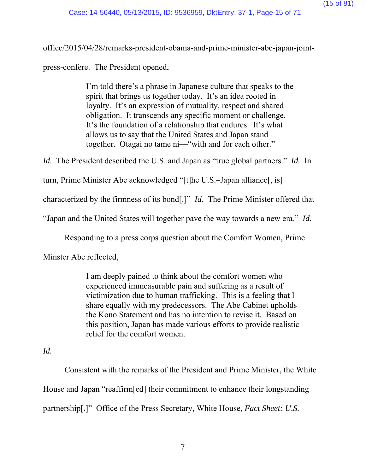office/2015/04/28/remarks-president-obama-and-prime-minister-abe-japan-jointpress-confere. The President opened,

> I'm told there's a phrase in Japanese culture that speaks to the spirit that brings us together today. It's an idea rooted in loyalty. It's an expression of mutuality, respect and shared obligation. It transcends any specific moment or challenge. It's the foundation of a relationship that endures. It's what allows us to say that the United States and Japan stand together. Otagai no tame ni—"with and for each other."

*Id.* The President described the U.S. and Japan as "true global partners." *Id.* In

turn, Prime Minister Abe acknowledged "[t]he U.S.–Japan alliance[, is]

characterized by the firmness of its bond[.]" *Id.* The Prime Minister offered that

"Japan and the United States will together pave the way towards a new era." *Id.* 

Responding to a press corps question about the Comfort Women, Prime

Minster Abe reflected,

I am deeply pained to think about the comfort women who experienced immeasurable pain and suffering as a result of victimization due to human trafficking. This is a feeling that I share equally with my predecessors. The Abe Cabinet upholds the Kono Statement and has no intention to revise it. Based on this position, Japan has made various efforts to provide realistic relief for the comfort women.

# *Id.*

Consistent with the remarks of the President and Prime Minister, the White House and Japan "reaffirm[ed] their commitment to enhance their longstanding partnership[.]" Office of the Press Secretary, White House, *Fact Sheet: U.S.–*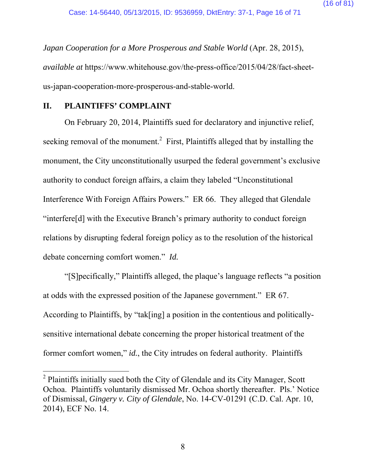*Japan Cooperation for a More Prosperous and Stable World* (Apr. 28, 2015), *available at* https://www.whitehouse.gov/the-press-office/2015/04/28/fact-sheetus-japan-cooperation-more-prosperous-and-stable-world.

### **II. PLAINTIFFS' COMPLAINT**

 $\overline{a}$ 

On February 20, 2014, Plaintiffs sued for declaratory and injunctive relief, seeking removal of the monument.<sup>2</sup> First, Plaintiffs alleged that by installing the monument, the City unconstitutionally usurped the federal government's exclusive authority to conduct foreign affairs, a claim they labeled "Unconstitutional Interference With Foreign Affairs Powers." ER 66. They alleged that Glendale "interfere[d] with the Executive Branch's primary authority to conduct foreign relations by disrupting federal foreign policy as to the resolution of the historical debate concerning comfort women." *Id.*

"[S]pecifically," Plaintiffs alleged, the plaque's language reflects "a position at odds with the expressed position of the Japanese government." ER 67. According to Plaintiffs, by "tak[ing] a position in the contentious and politicallysensitive international debate concerning the proper historical treatment of the former comfort women," *id.*, the City intrudes on federal authority. Plaintiffs

 $2$  Plaintiffs initially sued both the City of Glendale and its City Manager, Scott Ochoa. Plaintiffs voluntarily dismissed Mr. Ochoa shortly thereafter. Pls.' Notice of Dismissal, *Gingery v. City of Glendale*, No. 14-CV-01291 (C.D. Cal. Apr. 10, 2014), ECF No. 14.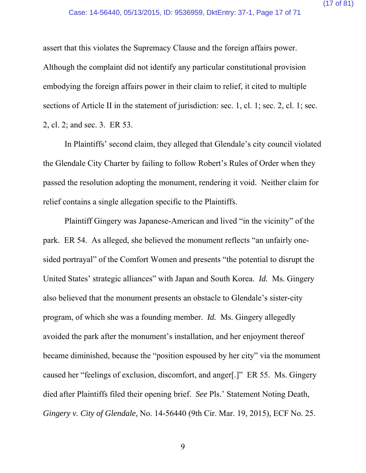assert that this violates the Supremacy Clause and the foreign affairs power. Although the complaint did not identify any particular constitutional provision embodying the foreign affairs power in their claim to relief, it cited to multiple sections of Article II in the statement of jurisdiction: sec. 1, cl. 1; sec. 2, cl. 1; sec. 2, cl. 2; and sec. 3. ER 53.

In Plaintiffs' second claim, they alleged that Glendale's city council violated the Glendale City Charter by failing to follow Robert's Rules of Order when they passed the resolution adopting the monument, rendering it void. Neither claim for relief contains a single allegation specific to the Plaintiffs.

Plaintiff Gingery was Japanese-American and lived "in the vicinity" of the park. ER 54. As alleged, she believed the monument reflects "an unfairly onesided portrayal" of the Comfort Women and presents "the potential to disrupt the United States' strategic alliances" with Japan and South Korea. *Id.* Ms. Gingery also believed that the monument presents an obstacle to Glendale's sister-city program, of which she was a founding member. *Id.* Ms. Gingery allegedly avoided the park after the monument's installation, and her enjoyment thereof became diminished, because the "position espoused by her city" via the monument caused her "feelings of exclusion, discomfort, and anger[.]" ER 55. Ms. Gingery died after Plaintiffs filed their opening brief. *See* Pls.' Statement Noting Death, *Gingery v. City of Glendale*, No. 14-56440 (9th Cir. Mar. 19, 2015), ECF No. 25.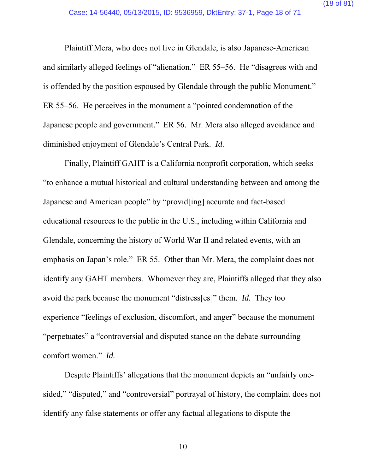Plaintiff Mera, who does not live in Glendale, is also Japanese-American and similarly alleged feelings of "alienation." ER 55–56. He "disagrees with and is offended by the position espoused by Glendale through the public Monument." ER 55–56. He perceives in the monument a "pointed condemnation of the Japanese people and government." ER 56. Mr. Mera also alleged avoidance and diminished enjoyment of Glendale's Central Park. *Id.*

Finally, Plaintiff GAHT is a California nonprofit corporation, which seeks "to enhance a mutual historical and cultural understanding between and among the Japanese and American people" by "provid[ing] accurate and fact-based educational resources to the public in the U.S., including within California and Glendale, concerning the history of World War II and related events, with an emphasis on Japan's role." ER 55. Other than Mr. Mera, the complaint does not identify any GAHT members. Whomever they are, Plaintiffs alleged that they also avoid the park because the monument "distress[es]" them. *Id.* They too experience "feelings of exclusion, discomfort, and anger" because the monument "perpetuates" a "controversial and disputed stance on the debate surrounding comfort women." *Id.*

Despite Plaintiffs' allegations that the monument depicts an "unfairly onesided," "disputed," and "controversial" portrayal of history, the complaint does not identify any false statements or offer any factual allegations to dispute the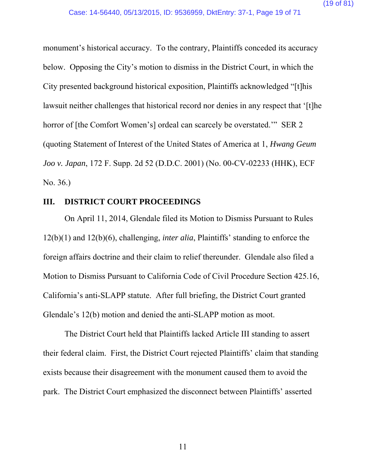monument's historical accuracy. To the contrary, Plaintiffs conceded its accuracy below. Opposing the City's motion to dismiss in the District Court, in which the City presented background historical exposition, Plaintiffs acknowledged "[t]his lawsuit neither challenges that historical record nor denies in any respect that '[t]he horror of [the Comfort Women's] ordeal can scarcely be overstated." SER 2 (quoting Statement of Interest of the United States of America at 1, *Hwang Geum Joo v. Japan*, 172 F. Supp. 2d 52 (D.D.C. 2001) (No. 00-CV-02233 (HHK), ECF No. 36.)

### **III. DISTRICT COURT PROCEEDINGS**

On April 11, 2014, Glendale filed its Motion to Dismiss Pursuant to Rules 12(b)(1) and 12(b)(6), challenging, *inter alia*, Plaintiffs' standing to enforce the foreign affairs doctrine and their claim to relief thereunder. Glendale also filed a Motion to Dismiss Pursuant to California Code of Civil Procedure Section 425.16, California's anti-SLAPP statute. After full briefing, the District Court granted Glendale's 12(b) motion and denied the anti-SLAPP motion as moot.

The District Court held that Plaintiffs lacked Article III standing to assert their federal claim. First, the District Court rejected Plaintiffs' claim that standing exists because their disagreement with the monument caused them to avoid the park. The District Court emphasized the disconnect between Plaintiffs' asserted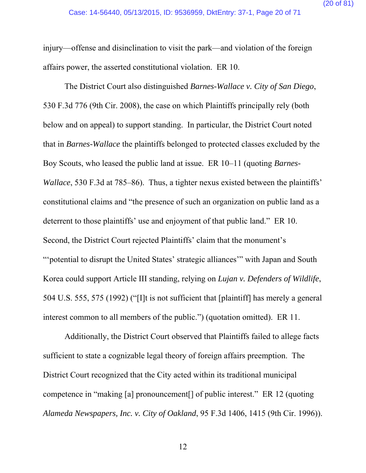injury—offense and disinclination to visit the park—and violation of the foreign affairs power, the asserted constitutional violation. ER 10.

The District Court also distinguished *Barnes-Wallace v. City of San Diego*, 530 F.3d 776 (9th Cir. 2008), the case on which Plaintiffs principally rely (both below and on appeal) to support standing. In particular, the District Court noted that in *Barnes-Wallace* the plaintiffs belonged to protected classes excluded by the Boy Scouts, who leased the public land at issue. ER 10–11 (quoting *Barnes-Wallace*, 530 F.3d at 785–86). Thus, a tighter nexus existed between the plaintiffs' constitutional claims and "the presence of such an organization on public land as a deterrent to those plaintiffs' use and enjoyment of that public land." ER 10. Second, the District Court rejected Plaintiffs' claim that the monument's "'potential to disrupt the United States' strategic alliances'" with Japan and South Korea could support Article III standing, relying on *Lujan v. Defenders of Wildlife*, 504 U.S. 555, 575 (1992) ("[I]t is not sufficient that [plaintiff] has merely a general interest common to all members of the public.") (quotation omitted). ER 11.

Additionally, the District Court observed that Plaintiffs failed to allege facts sufficient to state a cognizable legal theory of foreign affairs preemption. The District Court recognized that the City acted within its traditional municipal competence in "making [a] pronouncement[] of public interest." ER 12 (quoting *Alameda Newspapers, Inc. v. City of Oakland*, 95 F.3d 1406, 1415 (9th Cir. 1996)).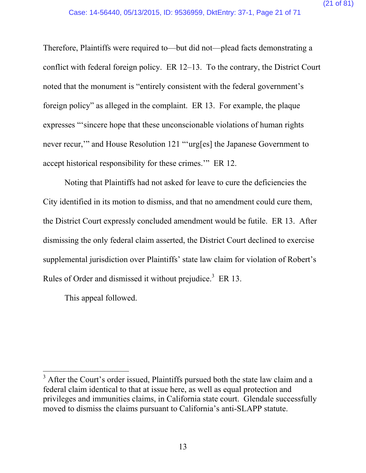Therefore, Plaintiffs were required to—but did not—plead facts demonstrating a conflict with federal foreign policy. ER 12–13. To the contrary, the District Court noted that the monument is "entirely consistent with the federal government's foreign policy" as alleged in the complaint. ER 13. For example, the plaque expresses "'sincere hope that these unconscionable violations of human rights never recur,'" and House Resolution 121 "'urg[es] the Japanese Government to accept historical responsibility for these crimes.'" ER 12.

Noting that Plaintiffs had not asked for leave to cure the deficiencies the City identified in its motion to dismiss, and that no amendment could cure them, the District Court expressly concluded amendment would be futile. ER 13. After dismissing the only federal claim asserted, the District Court declined to exercise supplemental jurisdiction over Plaintiffs' state law claim for violation of Robert's Rules of Order and dismissed it without prejudice.<sup>3</sup> ER 13.

This appeal followed.

 $\overline{a}$ 

<sup>&</sup>lt;sup>3</sup> After the Court's order issued, Plaintiffs pursued both the state law claim and a federal claim identical to that at issue here, as well as equal protection and privileges and immunities claims, in California state court. Glendale successfully moved to dismiss the claims pursuant to California's anti-SLAPP statute.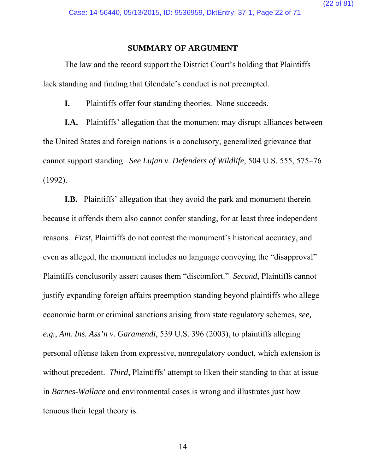#### **SUMMARY OF ARGUMENT**

The law and the record support the District Court's holding that Plaintiffs lack standing and finding that Glendale's conduct is not preempted.

**I.** Plaintiffs offer four standing theories. None succeeds.

**I.A.** Plaintiffs' allegation that the monument may disrupt alliances between the United States and foreign nations is a conclusory, generalized grievance that cannot support standing. *See Lujan v. Defenders of Wildlife*, 504 U.S. 555, 575–76 (1992).

**I.B.** Plaintiffs' allegation that they avoid the park and monument therein because it offends them also cannot confer standing, for at least three independent reasons. *First*, Plaintiffs do not contest the monument's historical accuracy, and even as alleged, the monument includes no language conveying the "disapproval" Plaintiffs conclusorily assert causes them "discomfort." *Second*, Plaintiffs cannot justify expanding foreign affairs preemption standing beyond plaintiffs who allege economic harm or criminal sanctions arising from state regulatory schemes, *see, e.g.*, *Am. Ins. Ass'n v. Garamendi*, 539 U.S. 396 (2003), to plaintiffs alleging personal offense taken from expressive, nonregulatory conduct, which extension is without precedent. *Third*, Plaintiffs' attempt to liken their standing to that at issue in *Barnes-Wallace* and environmental cases is wrong and illustrates just how tenuous their legal theory is.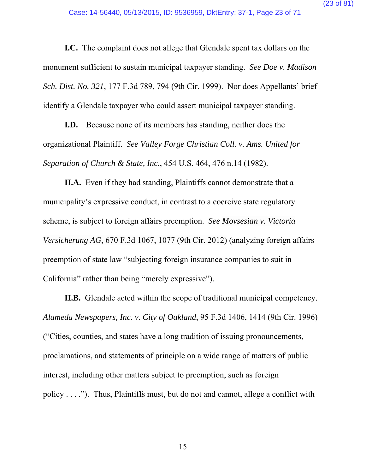**I.C.** The complaint does not allege that Glendale spent tax dollars on the monument sufficient to sustain municipal taxpayer standing. *See Doe v. Madison Sch. Dist. No. 321*, 177 F.3d 789, 794 (9th Cir. 1999). Nor does Appellants' brief identify a Glendale taxpayer who could assert municipal taxpayer standing.

**I.D.** Because none of its members has standing, neither does the organizational Plaintiff. *See Valley Forge Christian Coll. v. Ams. United for Separation of Church & State, Inc.*, 454 U.S. 464, 476 n.14 (1982).

**II.A.** Even if they had standing, Plaintiffs cannot demonstrate that a municipality's expressive conduct, in contrast to a coercive state regulatory scheme, is subject to foreign affairs preemption. *See Movsesian v. Victoria Versicherung AG*, 670 F.3d 1067, 1077 (9th Cir. 2012) (analyzing foreign affairs preemption of state law "subjecting foreign insurance companies to suit in California" rather than being "merely expressive").

**II.B.** Glendale acted within the scope of traditional municipal competency. *Alameda Newspapers, Inc. v. City of Oakland*, 95 F.3d 1406, 1414 (9th Cir. 1996) ("Cities, counties, and states have a long tradition of issuing pronouncements, proclamations, and statements of principle on a wide range of matters of public interest, including other matters subject to preemption, such as foreign policy . . . ."). Thus, Plaintiffs must, but do not and cannot, allege a conflict with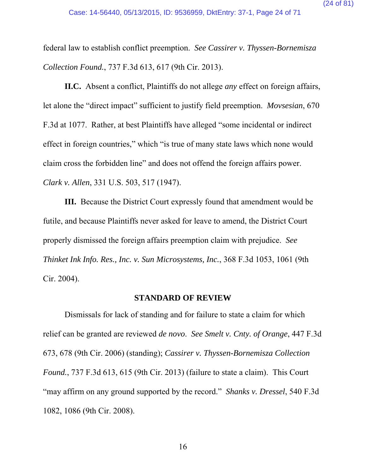federal law to establish conflict preemption. *See Cassirer v. Thyssen-Bornemisza Collection Found.*, 737 F.3d 613, 617 (9th Cir. 2013).

**II.C.** Absent a conflict, Plaintiffs do not allege *any* effect on foreign affairs, let alone the "direct impact" sufficient to justify field preemption. *Movsesian*, 670 F.3d at 1077. Rather, at best Plaintiffs have alleged "some incidental or indirect effect in foreign countries," which "is true of many state laws which none would claim cross the forbidden line" and does not offend the foreign affairs power. *Clark v. Allen*, 331 U.S. 503, 517 (1947).

**III.** Because the District Court expressly found that amendment would be futile, and because Plaintiffs never asked for leave to amend, the District Court properly dismissed the foreign affairs preemption claim with prejudice. *See Thinket Ink Info. Res., Inc. v. Sun Microsystems, Inc.*, 368 F.3d 1053, 1061 (9th Cir. 2004).

### **STANDARD OF REVIEW**

Dismissals for lack of standing and for failure to state a claim for which relief can be granted are reviewed *de novo*. *See Smelt v. Cnty. of Orange*, 447 F.3d 673, 678 (9th Cir. 2006) (standing); *Cassirer v. Thyssen-Bornemisza Collection Found.*, 737 F.3d 613, 615 (9th Cir. 2013) (failure to state a claim). This Court "may affirm on any ground supported by the record." *Shanks v. Dressel*, 540 F.3d 1082, 1086 (9th Cir. 2008).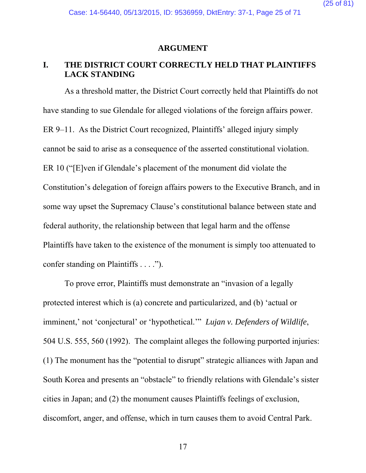#### **ARGUMENT**

### **I. THE DISTRICT COURT CORRECTLY HELD THAT PLAINTIFFS LACK STANDING**

As a threshold matter, the District Court correctly held that Plaintiffs do not have standing to sue Glendale for alleged violations of the foreign affairs power. ER 9–11. As the District Court recognized, Plaintiffs' alleged injury simply cannot be said to arise as a consequence of the asserted constitutional violation. ER 10 ("[E]ven if Glendale's placement of the monument did violate the Constitution's delegation of foreign affairs powers to the Executive Branch, and in some way upset the Supremacy Clause's constitutional balance between state and federal authority, the relationship between that legal harm and the offense Plaintiffs have taken to the existence of the monument is simply too attenuated to confer standing on Plaintiffs . . . .").

To prove error, Plaintiffs must demonstrate an "invasion of a legally protected interest which is (a) concrete and particularized, and (b) 'actual or imminent,' not 'conjectural' or 'hypothetical.'" *Lujan v. Defenders of Wildlife*, 504 U.S. 555, 560 (1992). The complaint alleges the following purported injuries: (1) The monument has the "potential to disrupt" strategic alliances with Japan and South Korea and presents an "obstacle" to friendly relations with Glendale's sister cities in Japan; and (2) the monument causes Plaintiffs feelings of exclusion, discomfort, anger, and offense, which in turn causes them to avoid Central Park.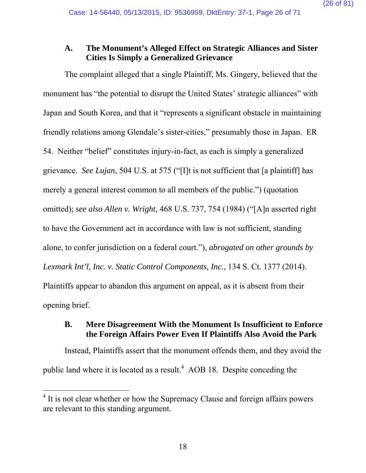### **A. The Monument's Alleged Effect on Strategic Alliances and Sister Cities Is Simply a Generalized Grievance**

The complaint alleged that a single Plaintiff, Ms. Gingery, believed that the monument has "the potential to disrupt the United States' strategic alliances" with Japan and South Korea, and that it "represents a significant obstacle in maintaining friendly relations among Glendale's sister-cities," presumably those in Japan. ER 54. Neither "belief" constitutes injury-in-fact, as each is simply a generalized grievance. *See Lujan*, 504 U.S. at 575 ("[I]t is not sufficient that [a plaintiff] has merely a general interest common to all members of the public.") (quotation omitted); *see also Allen v. Wright*, 468 U.S. 737, 754 (1984) ("[A]n asserted right to have the Government act in accordance with law is not sufficient, standing alone, to confer jurisdiction on a federal court."), *abrogated on other grounds by Lexmark Int'l, Inc. v. Static Control Components, Inc.*, 134 S. Ct. 1377 (2014). Plaintiffs appear to abandon this argument on appeal, as it is absent from their opening brief.

## **B. Mere Disagreement With the Monument Is Insufficient to Enforce the Foreign Affairs Power Even If Plaintiffs Also Avoid the Park**

Instead, Plaintiffs assert that the monument offends them, and they avoid the public land where it is located as a result.<sup>4</sup> AOB 18. Despite conceding the

 $\overline{a}$ 

 $4$  It is not clear whether or how the Supremacy Clause and foreign affairs powers are relevant to this standing argument.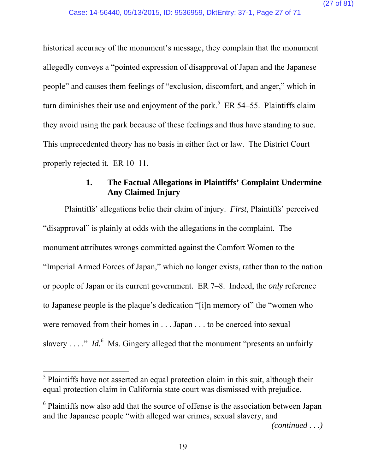historical accuracy of the monument's message, they complain that the monument allegedly conveys a "pointed expression of disapproval of Japan and the Japanese people" and causes them feelings of "exclusion, discomfort, and anger," which in turn diminishes their use and enjoyment of the park.<sup>5</sup> ER 54–55. Plaintiffs claim they avoid using the park because of these feelings and thus have standing to sue. This unprecedented theory has no basis in either fact or law. The District Court properly rejected it. ER 10–11.

## **1. The Factual Allegations in Plaintiffs' Complaint Undermine Any Claimed Injury**

Plaintiffs' allegations belie their claim of injury. *First*, Plaintiffs' perceived "disapproval" is plainly at odds with the allegations in the complaint. The monument attributes wrongs committed against the Comfort Women to the "Imperial Armed Forces of Japan," which no longer exists, rather than to the nation or people of Japan or its current government. ER 7–8. Indeed, the *only* reference to Japanese people is the plaque's dedication "[i]n memory of" the "women who were removed from their homes in . . . Japan . . . to be coerced into sexual slavery . . . ." *Id.*<sup>6</sup> Ms. Gingery alleged that the monument "presents an unfairly

 $\overline{a}$ 

*(continued . . .)* 

 $<sup>5</sup>$  Plaintiffs have not asserted an equal protection claim in this suit, although their</sup> equal protection claim in California state court was dismissed with prejudice.

<sup>&</sup>lt;sup>6</sup> Plaintiffs now also add that the source of offense is the association between Japan and the Japanese people "with alleged war crimes, sexual slavery, and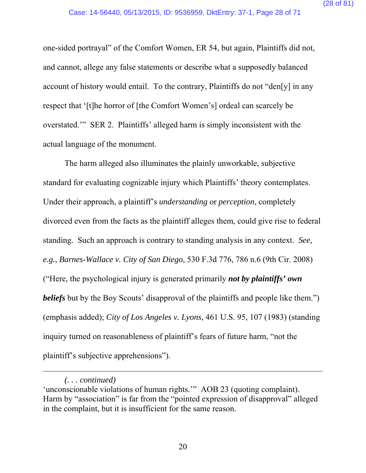one-sided portrayal" of the Comfort Women, ER 54, but again, Plaintiffs did not, and cannot, allege any false statements or describe what a supposedly balanced account of history would entail. To the contrary, Plaintiffs do not "den[y] in any respect that '[t]he horror of [the Comfort Women's] ordeal can scarcely be overstated.'" SER 2. Plaintiffs' alleged harm is simply inconsistent with the actual language of the monument.

The harm alleged also illuminates the plainly unworkable, subjective standard for evaluating cognizable injury which Plaintiffs' theory contemplates. Under their approach, a plaintiff's *understanding* or *perception*, completely divorced even from the facts as the plaintiff alleges them, could give rise to federal standing. Such an approach is contrary to standing analysis in any context. *See, e.g.*, *Barnes-Wallace v. City of San Diego*, 530 F.3d 776, 786 n.6 (9th Cir. 2008) ("Here, the psychological injury is generated primarily *not by plaintiffs' own beliefs* but by the Boy Scouts' disapproval of the plaintiffs and people like them.") (emphasis added); *City of Los Angeles v. Lyons*, 461 U.S. 95, 107 (1983) (standing inquiry turned on reasonableness of plaintiff's fears of future harm, "not the plaintiff's subjective apprehensions").

 $\overline{a}$ 

*<sup>(. . .</sup> continued)* 

<sup>&#</sup>x27;unconscionable violations of human rights.'" AOB 23 (quoting complaint). Harm by "association" is far from the "pointed expression of disapproval" alleged in the complaint, but it is insufficient for the same reason.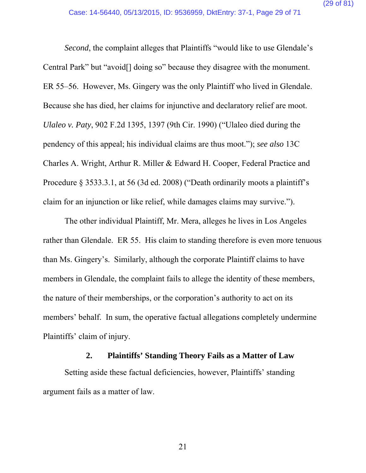*Second*, the complaint alleges that Plaintiffs "would like to use Glendale's Central Park" but "avoid[] doing so" because they disagree with the monument. ER 55–56. However, Ms. Gingery was the only Plaintiff who lived in Glendale. Because she has died, her claims for injunctive and declaratory relief are moot. *Ulaleo v. Paty*, 902 F.2d 1395, 1397 (9th Cir. 1990) ("Ulaleo died during the pendency of this appeal; his individual claims are thus moot."); *see also* 13C Charles A. Wright, Arthur R. Miller & Edward H. Cooper, Federal Practice and Procedure § 3533.3.1, at 56 (3d ed. 2008) ("Death ordinarily moots a plaintiff's claim for an injunction or like relief, while damages claims may survive.").

The other individual Plaintiff, Mr. Mera, alleges he lives in Los Angeles rather than Glendale. ER 55. His claim to standing therefore is even more tenuous than Ms. Gingery's. Similarly, although the corporate Plaintiff claims to have members in Glendale, the complaint fails to allege the identity of these members, the nature of their memberships, or the corporation's authority to act on its members' behalf. In sum, the operative factual allegations completely undermine Plaintiffs' claim of injury.

### **2. Plaintiffs' Standing Theory Fails as a Matter of Law**

Setting aside these factual deficiencies, however, Plaintiffs' standing argument fails as a matter of law.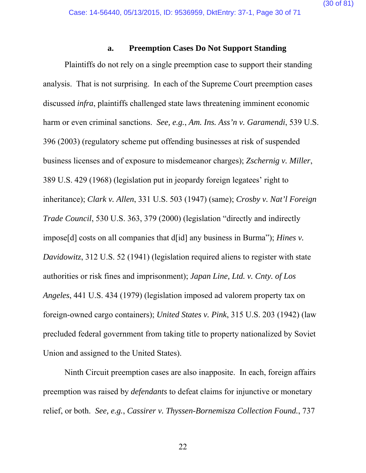#### **a. Preemption Cases Do Not Support Standing**

Plaintiffs do not rely on a single preemption case to support their standing analysis. That is not surprising. In each of the Supreme Court preemption cases discussed *infra*, plaintiffs challenged state laws threatening imminent economic harm or even criminal sanctions. *See, e.g.*, *Am. Ins. Ass'n v. Garamendi*, 539 U.S. 396 (2003) (regulatory scheme put offending businesses at risk of suspended business licenses and of exposure to misdemeanor charges); *Zschernig v. Miller*, 389 U.S. 429 (1968) (legislation put in jeopardy foreign legatees' right to inheritance); *Clark v. Allen*, 331 U.S. 503 (1947) (same); *Crosby v. Nat'l Foreign Trade Council*, 530 U.S. 363, 379 (2000) (legislation "directly and indirectly impose[d] costs on all companies that d[id] any business in Burma"); *Hines v. Davidowitz*, 312 U.S. 52 (1941) (legislation required aliens to register with state authorities or risk fines and imprisonment); *Japan Line, Ltd. v. Cnty. of Los Angeles*, 441 U.S. 434 (1979) (legislation imposed ad valorem property tax on foreign-owned cargo containers); *United States v. Pink*, 315 U.S. 203 (1942) (law precluded federal government from taking title to property nationalized by Soviet Union and assigned to the United States).

Ninth Circuit preemption cases are also inapposite. In each, foreign affairs preemption was raised by *defendants* to defeat claims for injunctive or monetary relief, or both. *See, e.g.*, *Cassirer v. Thyssen-Bornemisza Collection Found.*, 737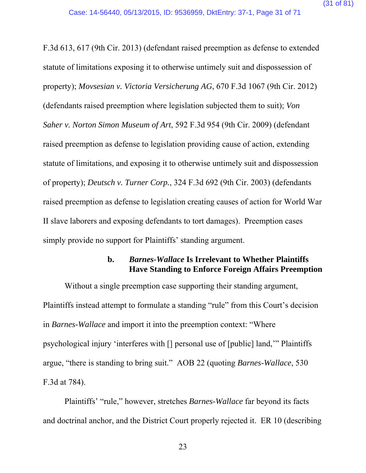F.3d 613, 617 (9th Cir. 2013) (defendant raised preemption as defense to extended statute of limitations exposing it to otherwise untimely suit and dispossession of property); *Movsesian v. Victoria Versicherung AG*, 670 F.3d 1067 (9th Cir. 2012) (defendants raised preemption where legislation subjected them to suit); *Von Saher v. Norton Simon Museum of Art*, 592 F.3d 954 (9th Cir. 2009) (defendant raised preemption as defense to legislation providing cause of action, extending statute of limitations, and exposing it to otherwise untimely suit and dispossession of property); *Deutsch v. Turner Corp.*, 324 F.3d 692 (9th Cir. 2003) (defendants raised preemption as defense to legislation creating causes of action for World War II slave laborers and exposing defendants to tort damages). Preemption cases simply provide no support for Plaintiffs' standing argument.

### **b.** *Barnes-Wallace* **Is Irrelevant to Whether Plaintiffs Have Standing to Enforce Foreign Affairs Preemption**

Without a single preemption case supporting their standing argument, Plaintiffs instead attempt to formulate a standing "rule" from this Court's decision in *Barnes-Wallace* and import it into the preemption context: "Where psychological injury 'interferes with [] personal use of [public] land,'" Plaintiffs argue, "there is standing to bring suit." AOB 22 (quoting *Barnes-Wallace*, 530 F.3d at 784).

Plaintiffs' "rule," however, stretches *Barnes-Wallace* far beyond its facts and doctrinal anchor, and the District Court properly rejected it. ER 10 (describing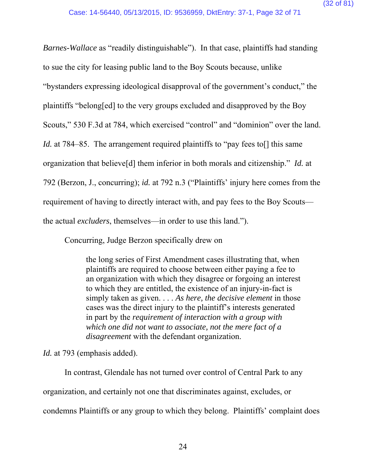*Barnes-Wallace* as "readily distinguishable"). In that case, plaintiffs had standing to sue the city for leasing public land to the Boy Scouts because, unlike "bystanders expressing ideological disapproval of the government's conduct," the plaintiffs "belong[ed] to the very groups excluded and disapproved by the Boy Scouts," 530 F.3d at 784, which exercised "control" and "dominion" over the land. *Id.* at 784–85. The arrangement required plaintiffs to "pay fees to [] this same organization that believe[d] them inferior in both morals and citizenship." *Id.* at 792 (Berzon, J., concurring); *id.* at 792 n.3 ("Plaintiffs' injury here comes from the requirement of having to directly interact with, and pay fees to the Boy Scouts the actual *excluders*, themselves—in order to use this land.").

Concurring, Judge Berzon specifically drew on

the long series of First Amendment cases illustrating that, when plaintiffs are required to choose between either paying a fee to an organization with which they disagree or forgoing an interest to which they are entitled, the existence of an injury-in-fact is simply taken as given. . . . *As here, the decisive element* in those cases was the direct injury to the plaintiff's interests generated in part by the *requirement of interaction with a group with which one did not want to associate, not the mere fact of a disagreement* with the defendant organization.

*Id.* at 793 (emphasis added).

In contrast, Glendale has not turned over control of Central Park to any organization, and certainly not one that discriminates against, excludes, or condemns Plaintiffs or any group to which they belong. Plaintiffs' complaint does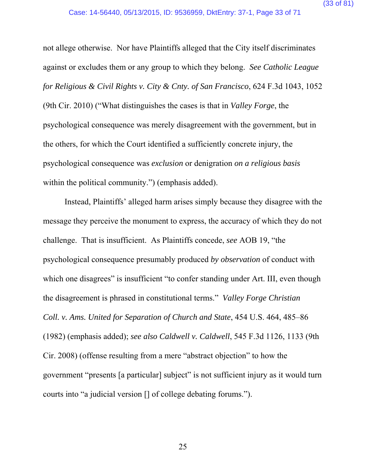not allege otherwise. Nor have Plaintiffs alleged that the City itself discriminates against or excludes them or any group to which they belong. *See Catholic League for Religious & Civil Rights v. City & Cnty. of San Francisco*, 624 F.3d 1043, 1052 (9th Cir. 2010) ("What distinguishes the cases is that in *Valley Forge*, the psychological consequence was merely disagreement with the government, but in the others, for which the Court identified a sufficiently concrete injury, the psychological consequence was *exclusion* or denigration *on a religious basis* within the political community.") (emphasis added).

Instead, Plaintiffs' alleged harm arises simply because they disagree with the message they perceive the monument to express, the accuracy of which they do not challenge. That is insufficient. As Plaintiffs concede, *see* AOB 19, "the psychological consequence presumably produced *by observation* of conduct with which one disagrees" is insufficient "to confer standing under Art. III, even though the disagreement is phrased in constitutional terms." *Valley Forge Christian Coll. v. Ams. United for Separation of Church and State*, 454 U.S. 464, 485–86 (1982) (emphasis added); *see also Caldwell v. Caldwell*, 545 F.3d 1126, 1133 (9th Cir. 2008) (offense resulting from a mere "abstract objection" to how the government "presents [a particular] subject" is not sufficient injury as it would turn courts into "a judicial version [] of college debating forums.").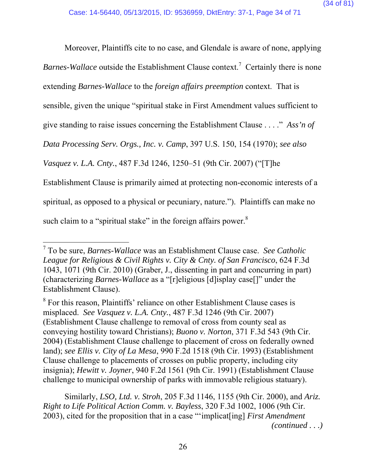Moreover, Plaintiffs cite to no case, and Glendale is aware of none, applying

Barnes-Wallace outside the Establishment Clause context.<sup>7</sup> Certainly there is none

extending *Barnes-Wallace* to the *foreign affairs preemption* context. That is

sensible, given the unique "spiritual stake in First Amendment values sufficient to

give standing to raise issues concerning the Establishment Clause . . . ." *Ass'n of* 

*Data Processing Serv. Orgs., Inc. v. Camp*, 397 U.S. 150, 154 (1970); *see also* 

*Vasquez v. L.A. Cnty.*, 487 F.3d 1246, 1250–51 (9th Cir. 2007) ("[T]he

Establishment Clause is primarily aimed at protecting non-economic interests of a

spiritual, as opposed to a physical or pecuniary, nature."). Plaintiffs can make no

such claim to a "spiritual stake" in the foreign affairs power. $8$ 

 $\overline{a}$ 

 Similarly, *LSO, Ltd. v. Stroh*, 205 F.3d 1146, 1155 (9th Cir. 2000), and *Ariz. Right to Life Political Action Comm. v. Bayless*, 320 F.3d 1002, 1006 (9th Cir. 2003), cited for the proposition that in a case "'implicat[ing] *First Amendment (continued . . .)* 

<sup>7</sup> To be sure, *Barnes-Wallace* was an Establishment Clause case. *See Catholic League for Religious & Civil Rights v. City & Cnty. of San Francisco*, 624 F.3d 1043, 1071 (9th Cir. 2010) (Graber, J., dissenting in part and concurring in part) (characterizing *Barnes-Wallace* as a "[r]eligious [d]isplay case[]" under the Establishment Clause).

<sup>&</sup>lt;sup>8</sup> For this reason, Plaintiffs' reliance on other Establishment Clause cases is misplaced. *See Vasquez v. L.A. Cnty.*, 487 F.3d 1246 (9th Cir. 2007) (Establishment Clause challenge to removal of cross from county seal as conveying hostility toward Christians); *Buono v. Norton*, 371 F.3d 543 (9th Cir. 2004) (Establishment Clause challenge to placement of cross on federally owned land); *see Ellis v. City of La Mesa*, 990 F.2d 1518 (9th Cir. 1993) (Establishment Clause challenge to placements of crosses on public property, including city insignia); *Hewitt v. Joyner*, 940 F.2d 1561 (9th Cir. 1991) (Establishment Clause challenge to municipal ownership of parks with immovable religious statuary).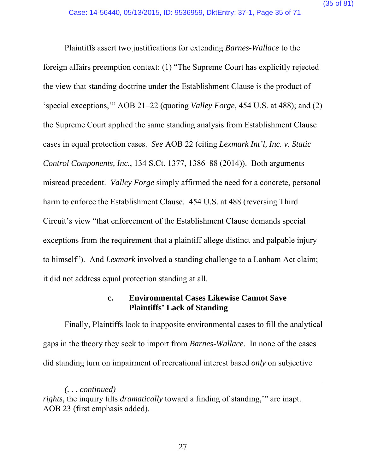Plaintiffs assert two justifications for extending *Barnes-Wallace* to the foreign affairs preemption context: (1) "The Supreme Court has explicitly rejected the view that standing doctrine under the Establishment Clause is the product of 'special exceptions,'" AOB 21–22 (quoting *Valley Forge*, 454 U.S. at 488); and (2) the Supreme Court applied the same standing analysis from Establishment Clause cases in equal protection cases. *See* AOB 22 (citing *Lexmark Int'l, Inc. v. Static Control Components, Inc.*, 134 S.Ct. 1377, 1386–88 (2014)). Both arguments misread precedent. *Valley Forge* simply affirmed the need for a concrete, personal harm to enforce the Establishment Clause. 454 U.S. at 488 (reversing Third Circuit's view "that enforcement of the Establishment Clause demands special exceptions from the requirement that a plaintiff allege distinct and palpable injury to himself"). And *Lexmark* involved a standing challenge to a Lanham Act claim; it did not address equal protection standing at all.

### **c. Environmental Cases Likewise Cannot Save Plaintiffs' Lack of Standing**

Finally, Plaintiffs look to inapposite environmental cases to fill the analytical gaps in the theory they seek to import from *Barnes-Wallace*. In none of the cases did standing turn on impairment of recreational interest based *only* on subjective

 $\overline{a}$ 

*<sup>(. . .</sup> continued)* 

*rights*, the inquiry tilts *dramatically* toward a finding of standing,'" are inapt. AOB 23 (first emphasis added).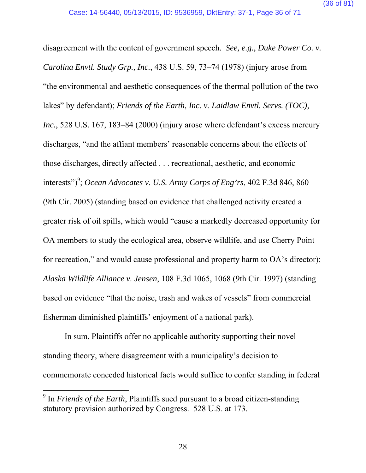disagreement with the content of government speech. *See, e.g.*, *Duke Power Co. v. Carolina Envtl. Study Grp., Inc.*, 438 U.S. 59, 73–74 (1978) (injury arose from "the environmental and aesthetic consequences of the thermal pollution of the two lakes" by defendant); *Friends of the Earth, Inc. v. Laidlaw Envtl. Servs. (TOC), Inc.*, 528 U.S. 167, 183–84 (2000) (injury arose where defendant's excess mercury discharges, "and the affiant members' reasonable concerns about the effects of those discharges, directly affected . . . recreational, aesthetic, and economic interests")<sup>9</sup>; *Ocean Advocates v. U.S. Army Corps of Eng'rs*, 402 F.3d 846, 860 (9th Cir. 2005) (standing based on evidence that challenged activity created a greater risk of oil spills, which would "cause a markedly decreased opportunity for OA members to study the ecological area, observe wildlife, and use Cherry Point for recreation," and would cause professional and property harm to OA's director); *Alaska Wildlife Alliance v. Jensen*, 108 F.3d 1065, 1068 (9th Cir. 1997) (standing based on evidence "that the noise, trash and wakes of vessels" from commercial fisherman diminished plaintiffs' enjoyment of a national park).

In sum, Plaintiffs offer no applicable authority supporting their novel standing theory, where disagreement with a municipality's decision to commemorate conceded historical facts would suffice to confer standing in federal

 $\overline{a}$ 

<sup>&</sup>lt;sup>9</sup> In *Friends of the Earth*, Plaintiffs sued pursuant to a broad citizen-standing statutory provision authorized by Congress. 528 U.S. at 173.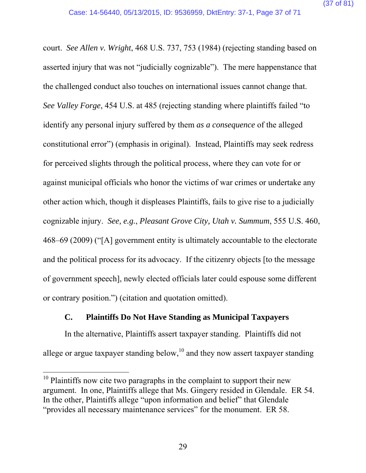court. *See Allen v. Wright*, 468 U.S. 737, 753 (1984) (rejecting standing based on asserted injury that was not "judicially cognizable"). The mere happenstance that the challenged conduct also touches on international issues cannot change that. *See Valley Forge*, 454 U.S. at 485 (rejecting standing where plaintiffs failed "to identify any personal injury suffered by them *as a consequence* of the alleged constitutional error") (emphasis in original). Instead, Plaintiffs may seek redress for perceived slights through the political process, where they can vote for or against municipal officials who honor the victims of war crimes or undertake any other action which, though it displeases Plaintiffs, fails to give rise to a judicially cognizable injury. *See, e.g.*, *Pleasant Grove City, Utah v. Summum*, 555 U.S. 460, 468–69 (2009) ("[A] government entity is ultimately accountable to the electorate and the political process for its advocacy. If the citizenry objects [to the message of government speech], newly elected officials later could espouse some different or contrary position.") (citation and quotation omitted).

#### **C. Plaintiffs Do Not Have Standing as Municipal Taxpayers**

In the alternative, Plaintiffs assert taxpayer standing. Plaintiffs did not allege or argue taxpayer standing below,  $10^{\circ}$  and they now assert taxpayer standing

 $10$  Plaintiffs now cite two paragraphs in the complaint to support their new argument. In one, Plaintiffs allege that Ms. Gingery resided in Glendale. ER 54. In the other, Plaintiffs allege "upon information and belief" that Glendale "provides all necessary maintenance services" for the monument. ER 58.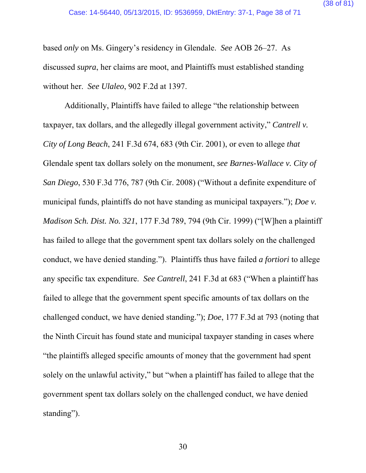based *only* on Ms. Gingery's residency in Glendale. *See* AOB 26–27. As discussed *supra*, her claims are moot, and Plaintiffs must established standing without her. *See Ulaleo*, 902 F.2d at 1397.

Additionally, Plaintiffs have failed to allege "the relationship between taxpayer, tax dollars, and the allegedly illegal government activity," *Cantrell v. City of Long Beach*, 241 F.3d 674, 683 (9th Cir. 2001), or even to allege *that* Glendale spent tax dollars solely on the monument, *see Barnes-Wallace v. City of San Diego*, 530 F.3d 776, 787 (9th Cir. 2008) ("Without a definite expenditure of municipal funds, plaintiffs do not have standing as municipal taxpayers."); *Doe v. Madison Sch. Dist. No. 321*, 177 F.3d 789, 794 (9th Cir. 1999) ("[W]hen a plaintiff has failed to allege that the government spent tax dollars solely on the challenged conduct, we have denied standing."). Plaintiffs thus have failed *a fortiori* to allege any specific tax expenditure. *See Cantrell*, 241 F.3d at 683 ("When a plaintiff has failed to allege that the government spent specific amounts of tax dollars on the challenged conduct, we have denied standing."); *Doe*, 177 F.3d at 793 (noting that the Ninth Circuit has found state and municipal taxpayer standing in cases where "the plaintiffs alleged specific amounts of money that the government had spent solely on the unlawful activity," but "when a plaintiff has failed to allege that the government spent tax dollars solely on the challenged conduct, we have denied standing").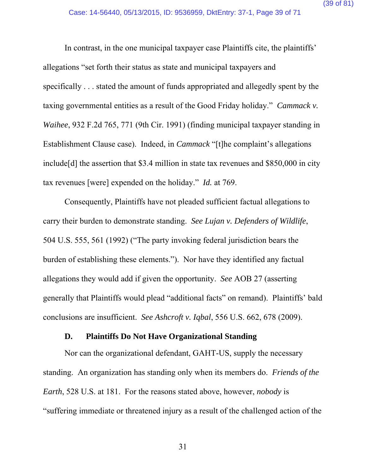In contrast, in the one municipal taxpayer case Plaintiffs cite, the plaintiffs' allegations "set forth their status as state and municipal taxpayers and specifically . . . stated the amount of funds appropriated and allegedly spent by the taxing governmental entities as a result of the Good Friday holiday." *Cammack v. Waihee*, 932 F.2d 765, 771 (9th Cir. 1991) (finding municipal taxpayer standing in Establishment Clause case). Indeed, in *Cammack* "[t]he complaint's allegations include[d] the assertion that \$3.4 million in state tax revenues and \$850,000 in city tax revenues [were] expended on the holiday." *Id.* at 769.

Consequently, Plaintiffs have not pleaded sufficient factual allegations to carry their burden to demonstrate standing. *See Lujan v. Defenders of Wildlife*, 504 U.S. 555, 561 (1992) ("The party invoking federal jurisdiction bears the burden of establishing these elements."). Nor have they identified any factual allegations they would add if given the opportunity. *See* AOB 27 (asserting generally that Plaintiffs would plead "additional facts" on remand). Plaintiffs' bald conclusions are insufficient. *See Ashcroft v. Iqbal*, 556 U.S. 662, 678 (2009).

#### **D. Plaintiffs Do Not Have Organizational Standing**

Nor can the organizational defendant, GAHT-US, supply the necessary standing. An organization has standing only when its members do. *Friends of the Earth*, 528 U.S. at 181. For the reasons stated above, however, *nobody* is "suffering immediate or threatened injury as a result of the challenged action of the

31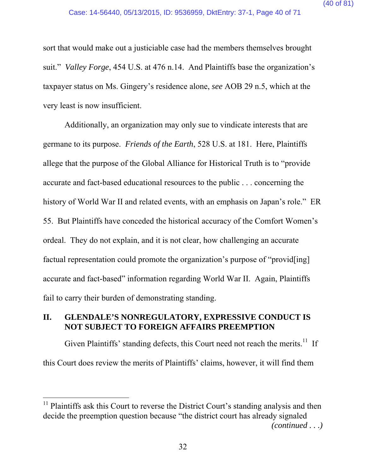sort that would make out a justiciable case had the members themselves brought suit." *Valley Forge*, 454 U.S. at 476 n.14. And Plaintiffs base the organization's taxpayer status on Ms. Gingery's residence alone, *see* AOB 29 n.5, which at the very least is now insufficient.

Additionally, an organization may only sue to vindicate interests that are germane to its purpose. *Friends of the Earth*, 528 U.S. at 181. Here, Plaintiffs allege that the purpose of the Global Alliance for Historical Truth is to "provide accurate and fact-based educational resources to the public . . . concerning the history of World War II and related events, with an emphasis on Japan's role." ER 55. But Plaintiffs have conceded the historical accuracy of the Comfort Women's ordeal. They do not explain, and it is not clear, how challenging an accurate factual representation could promote the organization's purpose of "provid[ing] accurate and fact-based" information regarding World War II. Again, Plaintiffs fail to carry their burden of demonstrating standing.

# **II. GLENDALE'S NONREGULATORY, EXPRESSIVE CONDUCT IS NOT SUBJECT TO FOREIGN AFFAIRS PREEMPTION**

Given Plaintiffs' standing defects, this Court need not reach the merits.<sup>11</sup> If this Court does review the merits of Plaintiffs' claims, however, it will find them

 $11$  Plaintiffs ask this Court to reverse the District Court's standing analysis and then decide the preemption question because "the district court has already signaled *(continued . . .)*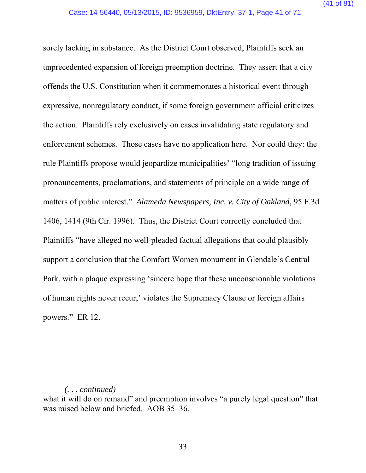sorely lacking in substance. As the District Court observed, Plaintiffs seek an unprecedented expansion of foreign preemption doctrine. They assert that a city offends the U.S. Constitution when it commemorates a historical event through expressive, nonregulatory conduct, if some foreign government official criticizes the action. Plaintiffs rely exclusively on cases invalidating state regulatory and enforcement schemes. Those cases have no application here. Nor could they: the rule Plaintiffs propose would jeopardize municipalities' "long tradition of issuing pronouncements, proclamations, and statements of principle on a wide range of matters of public interest." *Alameda Newspapers, Inc. v. City of Oakland*, 95 F.3d 1406, 1414 (9th Cir. 1996). Thus, the District Court correctly concluded that Plaintiffs "have alleged no well-pleaded factual allegations that could plausibly support a conclusion that the Comfort Women monument in Glendale's Central Park, with a plaque expressing 'sincere hope that these unconscionable violations of human rights never recur,' violates the Supremacy Clause or foreign affairs powers." ER 12.

*<sup>(. . .</sup> continued)* 

what it will do on remand" and preemption involves "a purely legal question" that was raised below and briefed. AOB 35–36.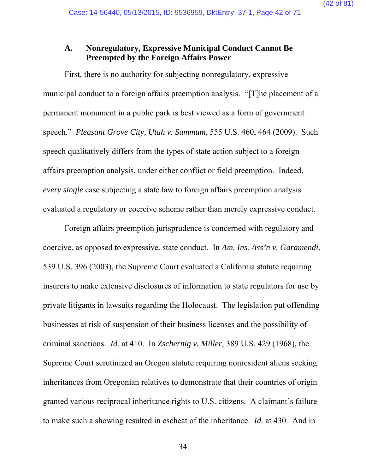## **A. Nonregulatory, Expressive Municipal Conduct Cannot Be Preempted by the Foreign Affairs Power**

First, there is no authority for subjecting nonregulatory, expressive municipal conduct to a foreign affairs preemption analysis. "[T]he placement of a permanent monument in a public park is best viewed as a form of government speech." *Pleasant Grove City, Utah v. Summum*, 555 U.S. 460, 464 (2009). Such speech qualitatively differs from the types of state action subject to a foreign affairs preemption analysis, under either conflict or field preemption. Indeed, *every single* case subjecting a state law to foreign affairs preemption analysis evaluated a regulatory or coercive scheme rather than merely expressive conduct.

Foreign affairs preemption jurisprudence is concerned with regulatory and coercive, as opposed to expressive, state conduct. In *Am. Ins. Ass'n v. Garamendi*, 539 U.S. 396 (2003), the Supreme Court evaluated a California statute requiring insurers to make extensive disclosures of information to state regulators for use by private litigants in lawsuits regarding the Holocaust. The legislation put offending businesses at risk of suspension of their business licenses and the possibility of criminal sanctions. *Id.* at 410. In *Zschernig v. Miller*, 389 U.S. 429 (1968), the Supreme Court scrutinized an Oregon statute requiring nonresident aliens seeking inheritances from Oregonian relatives to demonstrate that their countries of origin granted various reciprocal inheritance rights to U.S. citizens. A claimant's failure to make such a showing resulted in escheat of the inheritance. *Id.* at 430. And in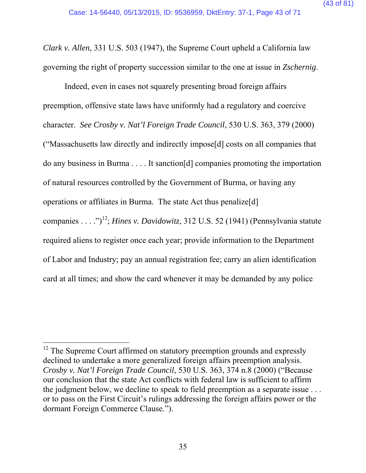*Clark v. Allen*, 331 U.S. 503 (1947), the Supreme Court upheld a California law governing the right of property succession similar to the one at issue in *Zschernig*.

Indeed, even in cases not squarely presenting broad foreign affairs preemption, offensive state laws have uniformly had a regulatory and coercive character. *See Crosby v. Nat'l Foreign Trade Council*, 530 U.S. 363, 379 (2000) ("Massachusetts law directly and indirectly impose[d] costs on all companies that do any business in Burma . . . . It sanction[d] companies promoting the importation of natural resources controlled by the Government of Burma, or having any operations or affiliates in Burma. The state Act thus penalize[d] companies . . . .")<sup>12</sup>; *Hines v. Davidowitz*, 312 U.S. 52 (1941) (Pennsylvania statute required aliens to register once each year; provide information to the Department of Labor and Industry; pay an annual registration fee; carry an alien identification card at all times; and show the card whenever it may be demanded by any police

 $12$  The Supreme Court affirmed on statutory preemption grounds and expressly declined to undertake a more generalized foreign affairs preemption analysis. *Crosby v. Nat'l Foreign Trade Council*, 530 U.S. 363, 374 n.8 (2000) ("Because our conclusion that the state Act conflicts with federal law is sufficient to affirm the judgment below, we decline to speak to field preemption as a separate issue . . . or to pass on the First Circuit's rulings addressing the foreign affairs power or the dormant Foreign Commerce Clause.").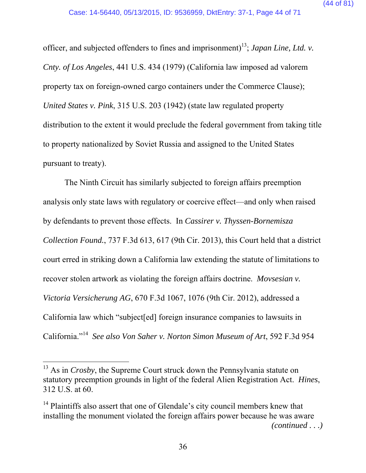officer, and subjected offenders to fines and imprisonment)<sup>13</sup>; *Japan Line, Ltd. v. Cnty. of Los Angeles*, 441 U.S. 434 (1979) (California law imposed ad valorem property tax on foreign-owned cargo containers under the Commerce Clause); *United States v. Pink*, 315 U.S. 203 (1942) (state law regulated property distribution to the extent it would preclude the federal government from taking title to property nationalized by Soviet Russia and assigned to the United States pursuant to treaty).

The Ninth Circuit has similarly subjected to foreign affairs preemption analysis only state laws with regulatory or coercive effect—and only when raised by defendants to prevent those effects. In *Cassirer v. Thyssen-Bornemisza Collection Found.*, 737 F.3d 613, 617 (9th Cir. 2013), this Court held that a district court erred in striking down a California law extending the statute of limitations to recover stolen artwork as violating the foreign affairs doctrine. *Movsesian v. Victoria Versicherung AG*, 670 F.3d 1067, 1076 (9th Cir. 2012), addressed a California law which "subject[ed] foreign insurance companies to lawsuits in California."14 *See also Von Saher v. Norton Simon Museum of Art*, 592 F.3d 954

<sup>&</sup>lt;sup>13</sup> As in *Crosby*, the Supreme Court struck down the Pennsylvania statute on statutory preemption grounds in light of the federal Alien Registration Act. *Hines*, 312 U.S. at 60.

 $14$  Plaintiffs also assert that one of Glendale's city council members knew that installing the monument violated the foreign affairs power because he was aware *(continued . . .)*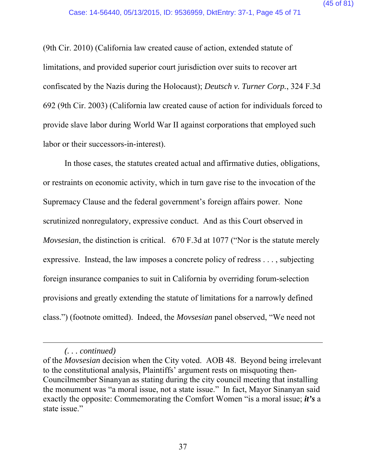(9th Cir. 2010) (California law created cause of action, extended statute of limitations, and provided superior court jurisdiction over suits to recover art confiscated by the Nazis during the Holocaust); *Deutsch v. Turner Corp.*, 324 F.3d 692 (9th Cir. 2003) (California law created cause of action for individuals forced to provide slave labor during World War II against corporations that employed such labor or their successors-in-interest).

In those cases, the statutes created actual and affirmative duties, obligations, or restraints on economic activity, which in turn gave rise to the invocation of the Supremacy Clause and the federal government's foreign affairs power. None scrutinized nonregulatory, expressive conduct. And as this Court observed in *Movsesian*, the distinction is critical. 670 F.3d at 1077 ("Nor is the statute merely expressive. Instead, the law imposes a concrete policy of redress . . . , subjecting foreign insurance companies to suit in California by overriding forum-selection provisions and greatly extending the statute of limitations for a narrowly defined class.") (footnote omitted). Indeed, the *Movsesian* panel observed, "We need not

*<sup>(. . .</sup> continued)* 

of the *Movsesian* decision when the City voted. AOB 48. Beyond being irrelevant to the constitutional analysis, Plaintiffs' argument rests on misquoting then-Councilmember Sinanyan as stating during the city council meeting that installing the monument was "a moral issue, not a state issue." In fact, Mayor Sinanyan said exactly the opposite: Commemorating the Comfort Women "is a moral issue; *it's* a state issue."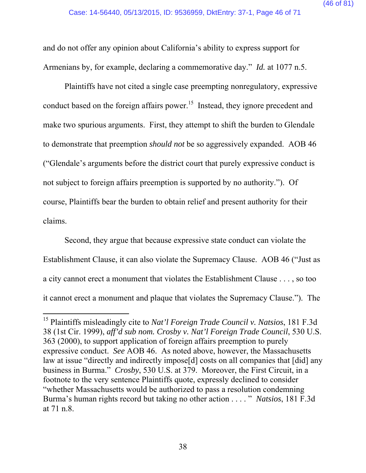and do not offer any opinion about California's ability to express support for Armenians by, for example, declaring a commemorative day." *Id.* at 1077 n.5.

Plaintiffs have not cited a single case preempting nonregulatory, expressive conduct based on the foreign affairs power.<sup>15</sup> Instead, they ignore precedent and make two spurious arguments. First, they attempt to shift the burden to Glendale to demonstrate that preemption *should not* be so aggressively expanded. AOB 46 ("Glendale's arguments before the district court that purely expressive conduct is not subject to foreign affairs preemption is supported by no authority."). Of course, Plaintiffs bear the burden to obtain relief and present authority for their claims.

Second, they argue that because expressive state conduct can violate the Establishment Clause, it can also violate the Supremacy Clause. AOB 46 ("Just as a city cannot erect a monument that violates the Establishment Clause . . . , so too it cannot erect a monument and plaque that violates the Supremacy Clause."). The

<sup>15</sup> Plaintiffs misleadingly cite to *Nat'l Foreign Trade Council v. Natsios*, 181 F.3d 38 (1st Cir. 1999), *aff'd sub nom. Crosby v. Nat'l Foreign Trade Council*, 530 U.S. 363 (2000), to support application of foreign affairs preemption to purely expressive conduct. *See* AOB 46. As noted above, however, the Massachusetts law at issue "directly and indirectly impose[d] costs on all companies that [did] any business in Burma." *Crosby*, 530 U.S. at 379. Moreover, the First Circuit, in a footnote to the very sentence Plaintiffs quote, expressly declined to consider "whether Massachusetts would be authorized to pass a resolution condemning Burma's human rights record but taking no other action . . . . " *Natsios*, 181 F.3d at 71 n.8.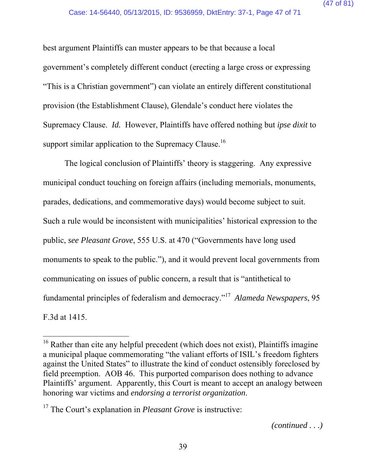best argument Plaintiffs can muster appears to be that because a local government's completely different conduct (erecting a large cross or expressing "This is a Christian government") can violate an entirely different constitutional provision (the Establishment Clause), Glendale's conduct here violates the Supremacy Clause. *Id.* However, Plaintiffs have offered nothing but *ipse dixit* to support similar application to the Supremacy Clause.<sup>16</sup>

The logical conclusion of Plaintiffs' theory is staggering. Any expressive municipal conduct touching on foreign affairs (including memorials, monuments, parades, dedications, and commemorative days) would become subject to suit. Such a rule would be inconsistent with municipalities' historical expression to the public, *see Pleasant Grove*, 555 U.S. at 470 ("Governments have long used monuments to speak to the public."), and it would prevent local governments from communicating on issues of public concern, a result that is "antithetical to fundamental principles of federalism and democracy."17 *Alameda Newspapers*, 95 F.3d at 1415.

<sup>&</sup>lt;sup>16</sup> Rather than cite any helpful precedent (which does not exist), Plaintiffs imagine a municipal plaque commemorating "the valiant efforts of ISIL's freedom fighters against the United States" to illustrate the kind of conduct ostensibly foreclosed by field preemption. AOB 46. This purported comparison does nothing to advance Plaintiffs' argument. Apparently, this Court is meant to accept an analogy between honoring war victims and *endorsing a terrorist organization*.

<sup>&</sup>lt;sup>17</sup> The Court's explanation in *Pleasant Grove* is instructive: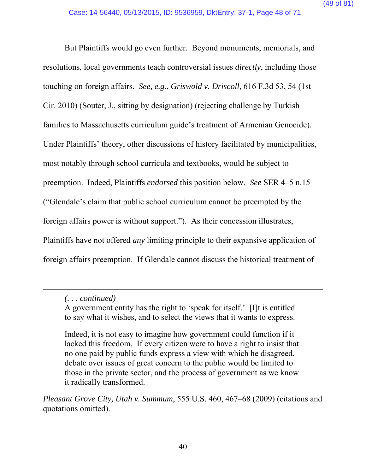But Plaintiffs would go even further. Beyond monuments, memorials, and resolutions, local governments teach controversial issues *directly*, including those touching on foreign affairs. *See, e.g.*, *Griswold v. Driscoll*, 616 F.3d 53, 54 (1st Cir. 2010) (Souter, J., sitting by designation) (rejecting challenge by Turkish families to Massachusetts curriculum guide's treatment of Armenian Genocide). Under Plaintiffs' theory, other discussions of history facilitated by municipalities, most notably through school curricula and textbooks, would be subject to preemption. Indeed, Plaintiffs *endorsed* this position below. *See* SER 4–5 n.15 ("Glendale's claim that public school curriculum cannot be preempted by the foreign affairs power is without support."). As their concession illustrates, Plaintiffs have not offered *any* limiting principle to their expansive application of foreign affairs preemption. If Glendale cannot discuss the historical treatment of

 $\overline{a}$ 

Indeed, it is not easy to imagine how government could function if it lacked this freedom. If every citizen were to have a right to insist that no one paid by public funds express a view with which he disagreed, debate over issues of great concern to the public would be limited to those in the private sector, and the process of government as we know it radically transformed.

*Pleasant Grove City, Utah v. Summum*, 555 U.S. 460, 467–68 (2009) (citations and quotations omitted).

*<sup>(. . .</sup> continued)* 

A government entity has the right to 'speak for itself.' [I]t is entitled to say what it wishes, and to select the views that it wants to express.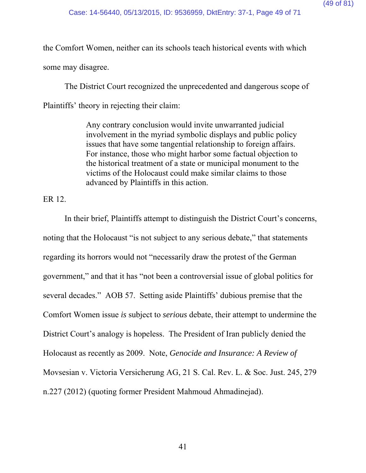the Comfort Women, neither can its schools teach historical events with which some may disagree.

The District Court recognized the unprecedented and dangerous scope of Plaintiffs' theory in rejecting their claim:

> Any contrary conclusion would invite unwarranted judicial involvement in the myriad symbolic displays and public policy issues that have some tangential relationship to foreign affairs. For instance, those who might harbor some factual objection to the historical treatment of a state or municipal monument to the victims of the Holocaust could make similar claims to those advanced by Plaintiffs in this action.

ER 12.

In their brief, Plaintiffs attempt to distinguish the District Court's concerns, noting that the Holocaust "is not subject to any serious debate," that statements regarding its horrors would not "necessarily draw the protest of the German government," and that it has "not been a controversial issue of global politics for several decades." AOB 57. Setting aside Plaintiffs' dubious premise that the Comfort Women issue *is* subject to *serious* debate, their attempt to undermine the District Court's analogy is hopeless. The President of Iran publicly denied the Holocaust as recently as 2009. Note, *Genocide and Insurance: A Review of*  Movsesian v. Victoria Versicherung AG, 21 S. Cal. Rev. L. & Soc. Just. 245, 279 n.227 (2012) (quoting former President Mahmoud Ahmadinejad).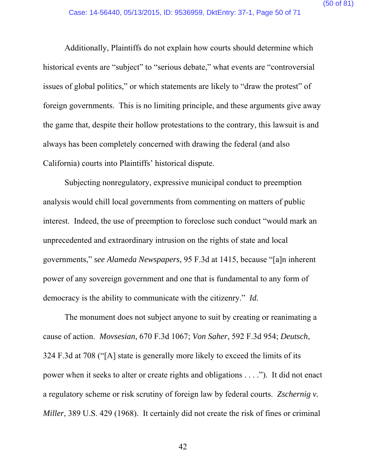Additionally, Plaintiffs do not explain how courts should determine which historical events are "subject" to "serious debate," what events are "controversial issues of global politics," or which statements are likely to "draw the protest" of foreign governments. This is no limiting principle, and these arguments give away the game that, despite their hollow protestations to the contrary, this lawsuit is and always has been completely concerned with drawing the federal (and also California) courts into Plaintiffs' historical dispute.

Subjecting nonregulatory, expressive municipal conduct to preemption analysis would chill local governments from commenting on matters of public interest. Indeed, the use of preemption to foreclose such conduct "would mark an unprecedented and extraordinary intrusion on the rights of state and local governments," *see Alameda Newspapers*, 95 F.3d at 1415, because "[a]n inherent power of any sovereign government and one that is fundamental to any form of democracy is the ability to communicate with the citizenry." *Id.* 

The monument does not subject anyone to suit by creating or reanimating a cause of action. *Movsesian*, 670 F.3d 1067; *Von Saher*, 592 F.3d 954; *Deutsch*, 324 F.3d at 708 ("[A] state is generally more likely to exceed the limits of its power when it seeks to alter or create rights and obligations . . . ."). It did not enact a regulatory scheme or risk scrutiny of foreign law by federal courts. *Zschernig v. Miller*, 389 U.S. 429 (1968). It certainly did not create the risk of fines or criminal

42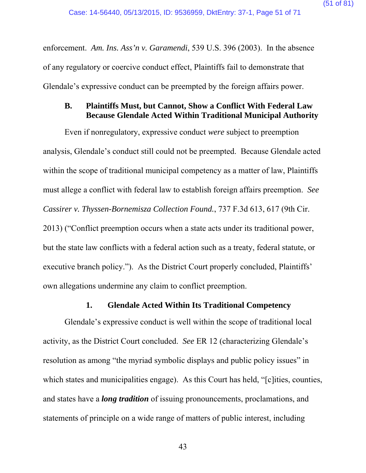enforcement. *Am. Ins. Ass'n v. Garamendi*, 539 U.S. 396 (2003). In the absence of any regulatory or coercive conduct effect, Plaintiffs fail to demonstrate that Glendale's expressive conduct can be preempted by the foreign affairs power.

## **B. Plaintiffs Must, but Cannot, Show a Conflict With Federal Law Because Glendale Acted Within Traditional Municipal Authority**

Even if nonregulatory, expressive conduct *were* subject to preemption analysis, Glendale's conduct still could not be preempted. Because Glendale acted within the scope of traditional municipal competency as a matter of law, Plaintiffs must allege a conflict with federal law to establish foreign affairs preemption. *See Cassirer v. Thyssen-Bornemisza Collection Found.*, 737 F.3d 613, 617 (9th Cir. 2013) ("Conflict preemption occurs when a state acts under its traditional power, but the state law conflicts with a federal action such as a treaty, federal statute, or executive branch policy."). As the District Court properly concluded, Plaintiffs' own allegations undermine any claim to conflict preemption.

#### **1. Glendale Acted Within Its Traditional Competency**

Glendale's expressive conduct is well within the scope of traditional local activity, as the District Court concluded. *See* ER 12 (characterizing Glendale's resolution as among "the myriad symbolic displays and public policy issues" in which states and municipalities engage). As this Court has held, "[c]ities, counties, and states have a *long tradition* of issuing pronouncements, proclamations, and statements of principle on a wide range of matters of public interest, including

43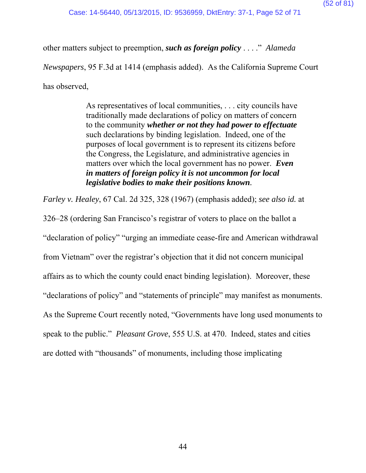other matters subject to preemption, *such as foreign policy* . . . ." *Alameda* 

*Newspapers*, 95 F.3d at 1414 (emphasis added). As the California Supreme Court

has observed,

As representatives of local communities, . . . city councils have traditionally made declarations of policy on matters of concern to the community *whether or not they had power to effectuate* such declarations by binding legislation. Indeed, one of the purposes of local government is to represent its citizens before the Congress, the Legislature, and administrative agencies in matters over which the local government has no power. *Even in matters of foreign policy it is not uncommon for local legislative bodies to make their positions known.*

*Farley v. Healey*, 67 Cal. 2d 325, 328 (1967) (emphasis added); *see also id.* at

326–28 (ordering San Francisco's registrar of voters to place on the ballot a

"declaration of policy" "urging an immediate cease-fire and American withdrawal

from Vietnam" over the registrar's objection that it did not concern municipal

affairs as to which the county could enact binding legislation). Moreover, these

"declarations of policy" and "statements of principle" may manifest as monuments.

As the Supreme Court recently noted, "Governments have long used monuments to

speak to the public." *Pleasant Grove*, 555 U.S. at 470. Indeed, states and cities

are dotted with "thousands" of monuments, including those implicating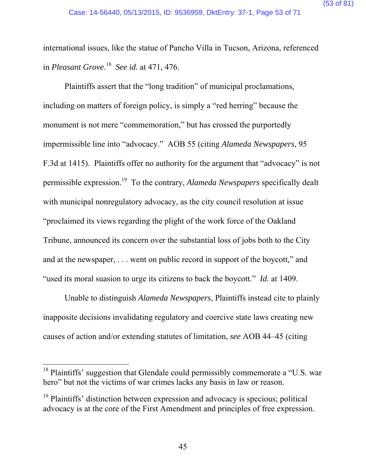international issues, like the statue of Pancho Villa in Tucson, Arizona, referenced in *Pleasant Grove*. 18 *See id.* at 471, 476.

Plaintiffs assert that the "long tradition" of municipal proclamations, including on matters of foreign policy, is simply a "red herring" because the monument is not mere "commemoration," but has crossed the purportedly impermissible line into "advocacy." AOB 55 (citing *Alameda Newspapers*, 95 F.3d at 1415). Plaintiffs offer no authority for the argument that "advocacy" is not permissible expression.19 To the contrary, *Alameda Newspapers* specifically dealt with municipal nonregulatory advocacy, as the city council resolution at issue "proclaimed its views regarding the plight of the work force of the Oakland Tribune, announced its concern over the substantial loss of jobs both to the City and at the newspaper, . . . went on public record in support of the boycott," and "used its moral suasion to urge its citizens to back the boycott." *Id.* at 1409.

Unable to distinguish *Alameda Newspapers*, Plaintiffs instead cite to plainly inapposite decisions invalidating regulatory and coercive state laws creating new causes of action and/or extending statutes of limitation, *see* AOB 44–45 (citing

 $18$  Plaintiffs' suggestion that Glendale could permissibly commemorate a "U.S. war hero" but not the victims of war crimes lacks any basis in law or reason.

 $19$  Plaintiffs' distinction between expression and advocacy is specious; political advocacy is at the core of the First Amendment and principles of free expression.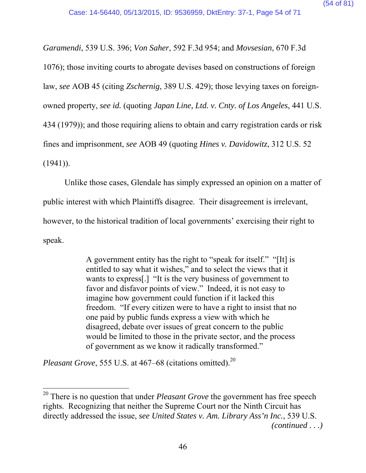*Garamendi*, 539 U.S. 396; *Von Saher*, 592 F.3d 954; and *Movsesian*, 670 F.3d 1076); those inviting courts to abrogate devises based on constructions of foreign law, *see* AOB 45 (citing *Zschernig*, 389 U.S. 429); those levying taxes on foreignowned property, *see id.* (quoting *Japan Line, Ltd. v. Cnty. of Los Angeles*, 441 U.S. 434 (1979)); and those requiring aliens to obtain and carry registration cards or risk fines and imprisonment, *see* AOB 49 (quoting *Hines v. Davidowitz*, 312 U.S. 52  $(1941)$ ).

Unlike those cases, Glendale has simply expressed an opinion on a matter of public interest with which Plaintiffs disagree. Their disagreement is irrelevant, however, to the historical tradition of local governments' exercising their right to speak.

> A government entity has the right to "speak for itself." "[It] is entitled to say what it wishes," and to select the views that it wants to express[.] "It is the very business of government to favor and disfavor points of view." Indeed, it is not easy to imagine how government could function if it lacked this freedom. "If every citizen were to have a right to insist that no one paid by public funds express a view with which he disagreed, debate over issues of great concern to the public would be limited to those in the private sector, and the process of government as we know it radically transformed."

*Pleasant Grove, 555 U.S. at 467–68 (citations omitted).*<sup>20</sup>

 $\overline{a}$ 

*(continued . . .)* 

<sup>20</sup> There is no question that under *Pleasant Grove* the government has free speech rights. Recognizing that neither the Supreme Court nor the Ninth Circuit has directly addressed the issue, *see United States v. Am. Library Ass'n Inc.*, 539 U.S.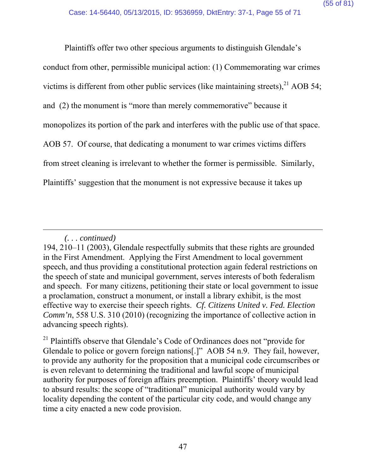Plaintiffs offer two other specious arguments to distinguish Glendale's conduct from other, permissible municipal action: (1) Commemorating war crimes victims is different from other public services (like maintaining streets), $^{21}$  AOB 54; and (2) the monument is "more than merely commemorative" because it monopolizes its portion of the park and interferes with the public use of that space. AOB 57. Of course, that dedicating a monument to war crimes victims differs from street cleaning is irrelevant to whether the former is permissible. Similarly, Plaintiffs' suggestion that the monument is not expressive because it takes up

*<sup>(. . .</sup> continued)* 

<sup>194, 210–11 (2003),</sup> Glendale respectfully submits that these rights are grounded in the First Amendment. Applying the First Amendment to local government speech, and thus providing a constitutional protection again federal restrictions on the speech of state and municipal government, serves interests of both federalism and speech. For many citizens, petitioning their state or local government to issue a proclamation, construct a monument, or install a library exhibit, is the most effective way to exercise their speech rights. *Cf. Citizens United v. Fed. Election Comm'n*, 558 U.S. 310 (2010) (recognizing the importance of collective action in advancing speech rights).

<sup>&</sup>lt;sup>21</sup> Plaintiffs observe that Glendale's Code of Ordinances does not "provide for Glendale to police or govern foreign nations<sup>[1]</sup>" AOB 54 n.9. They fail, however, to provide any authority for the proposition that a municipal code circumscribes or is even relevant to determining the traditional and lawful scope of municipal authority for purposes of foreign affairs preemption. Plaintiffs' theory would lead to absurd results: the scope of "traditional" municipal authority would vary by locality depending the content of the particular city code, and would change any time a city enacted a new code provision.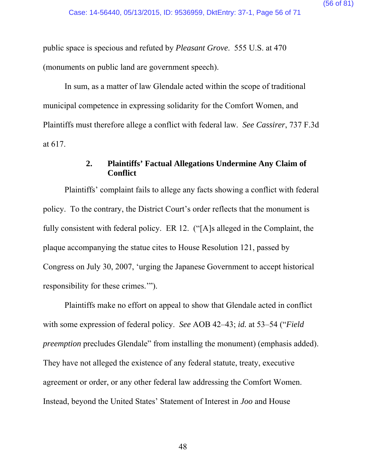public space is specious and refuted by *Pleasant Grove*. 555 U.S. at 470 (monuments on public land are government speech).

In sum, as a matter of law Glendale acted within the scope of traditional municipal competence in expressing solidarity for the Comfort Women, and Plaintiffs must therefore allege a conflict with federal law. *See Cassirer*, 737 F.3d at 617.

## **2. Plaintiffs' Factual Allegations Undermine Any Claim of Conflict**

Plaintiffs' complaint fails to allege any facts showing a conflict with federal policy. To the contrary, the District Court's order reflects that the monument is fully consistent with federal policy. ER 12. ("[A]s alleged in the Complaint, the plaque accompanying the statue cites to House Resolution 121, passed by Congress on July 30, 2007, 'urging the Japanese Government to accept historical responsibility for these crimes.'").

Plaintiffs make no effort on appeal to show that Glendale acted in conflict with some expression of federal policy. *See* AOB 42–43; *id.* at 53–54 ("*Field preemption* precludes Glendale" from installing the monument) (emphasis added). They have not alleged the existence of any federal statute, treaty, executive agreement or order, or any other federal law addressing the Comfort Women. Instead, beyond the United States' Statement of Interest in *Joo* and House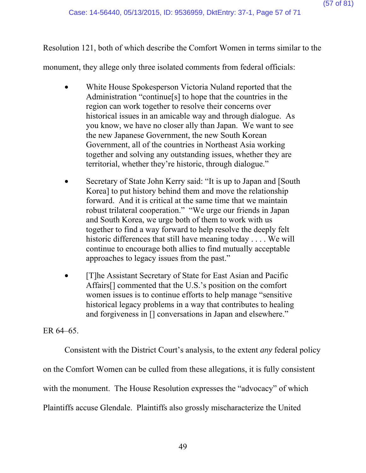Resolution 121, both of which describe the Comfort Women in terms similar to the

monument, they allege only three isolated comments from federal officials:

- White House Spokesperson Victoria Nuland reported that the Administration "continue[s] to hope that the countries in the region can work together to resolve their concerns over historical issues in an amicable way and through dialogue. As you know, we have no closer ally than Japan. We want to see the new Japanese Government, the new South Korean Government, all of the countries in Northeast Asia working together and solving any outstanding issues, whether they are territorial, whether they're historic, through dialogue."
- Secretary of State John Kerry said: "It is up to Japan and [South] Korea] to put history behind them and move the relationship forward. And it is critical at the same time that we maintain robust trilateral cooperation." "We urge our friends in Japan and South Korea, we urge both of them to work with us together to find a way forward to help resolve the deeply felt historic differences that still have meaning today . . . . We will continue to encourage both allies to find mutually acceptable approaches to legacy issues from the past."
- [T]he Assistant Secretary of State for East Asian and Pacific Affairs[] commented that the U.S.'s position on the comfort women issues is to continue efforts to help manage "sensitive historical legacy problems in a way that contributes to healing and forgiveness in [] conversations in Japan and elsewhere."

## ER 64–65.

Consistent with the District Court's analysis, to the extent *any* federal policy

on the Comfort Women can be culled from these allegations, it is fully consistent

with the monument. The House Resolution expresses the "advocacy" of which

Plaintiffs accuse Glendale. Plaintiffs also grossly mischaracterize the United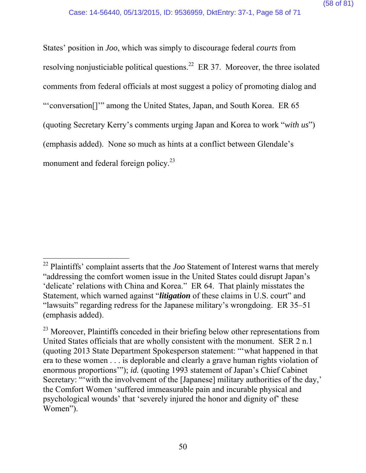States' position in *Joo*, which was simply to discourage federal *courts* from resolving nonjusticiable political questions.<sup>22</sup> ER 37. Moreover, the three isolated comments from federal officials at most suggest a policy of promoting dialog and "'conversation[]'" among the United States, Japan, and South Korea. ER 65 (quoting Secretary Kerry's comments urging Japan and Korea to work "*with us*") (emphasis added). None so much as hints at a conflict between Glendale's monument and federal foreign policy.<sup>23</sup>

 $\overline{a}$ <sup>22</sup> Plaintiffs' complaint asserts that the *Joo* Statement of Interest warns that merely "addressing the comfort women issue in the United States could disrupt Japan's 'delicate' relations with China and Korea." ER 64. That plainly misstates the Statement, which warned against "*litigation* of these claims in U.S. court" and "lawsuits" regarding redress for the Japanese military's wrongdoing. ER 35–51 (emphasis added).

<sup>&</sup>lt;sup>23</sup> Moreover, Plaintiffs conceded in their briefing below other representations from United States officials that are wholly consistent with the monument. SER 2 n.1 (quoting 2013 State Department Spokesperson statement: "'what happened in that era to these women . . . is deplorable and clearly a grave human rights violation of enormous proportions"); *id.* (quoting 1993 statement of Japan's Chief Cabinet Secretary: ""with the involvement of the [Japanese] military authorities of the day,' the Comfort Women 'suffered immeasurable pain and incurable physical and psychological wounds' that 'severely injured the honor and dignity of' these Women").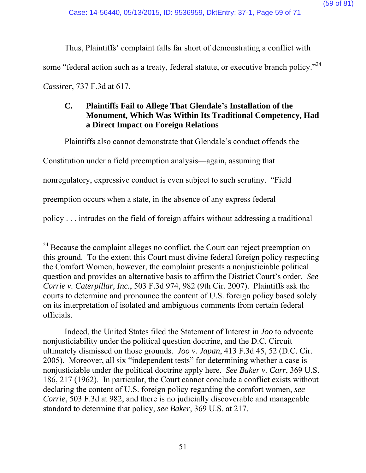Thus, Plaintiffs' complaint falls far short of demonstrating a conflict with

some "federal action such as a treaty, federal statute, or executive branch policy."<sup>24</sup>

*Cassirer*, 737 F.3d at 617.

# **C. Plaintiffs Fail to Allege That Glendale's Installation of the Monument, Which Was Within Its Traditional Competency, Had a Direct Impact on Foreign Relations**

Plaintiffs also cannot demonstrate that Glendale's conduct offends the

Constitution under a field preemption analysis—again, assuming that

nonregulatory, expressive conduct is even subject to such scrutiny. "Field

preemption occurs when a state, in the absence of any express federal

policy . . . intrudes on the field of foreign affairs without addressing a traditional

 Indeed, the United States filed the Statement of Interest in *Joo* to advocate nonjusticiability under the political question doctrine, and the D.C. Circuit ultimately dismissed on those grounds. *Joo v. Japan*, 413 F.3d 45, 52 (D.C. Cir. 2005). Moreover, all six "independent tests" for determining whether a case is nonjusticiable under the political doctrine apply here. *See Baker v. Carr*, 369 U.S. 186, 217 (1962). In particular, the Court cannot conclude a conflict exists without declaring the content of U.S. foreign policy regarding the comfort women, *see Corrie*, 503 F.3d at 982, and there is no judicially discoverable and manageable standard to determine that policy, *see Baker*, 369 U.S. at 217.

 $\overline{a}$  $2<sup>24</sup>$  Because the complaint alleges no conflict, the Court can reject preemption on this ground. To the extent this Court must divine federal foreign policy respecting the Comfort Women, however, the complaint presents a nonjusticiable political question and provides an alternative basis to affirm the District Court's order. *See Corrie v. Caterpillar, Inc.*, 503 F.3d 974, 982 (9th Cir. 2007). Plaintiffs ask the courts to determine and pronounce the content of U.S. foreign policy based solely on its interpretation of isolated and ambiguous comments from certain federal officials.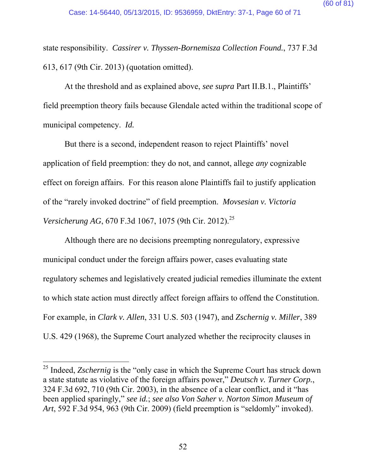state responsibility. *Cassirer v. Thyssen-Bornemisza Collection Found.*, 737 F.3d 613, 617 (9th Cir. 2013) (quotation omitted).

At the threshold and as explained above, *see supra* Part II.B.1., Plaintiffs' field preemption theory fails because Glendale acted within the traditional scope of municipal competency. *Id.*

But there is a second, independent reason to reject Plaintiffs' novel application of field preemption: they do not, and cannot, allege *any* cognizable effect on foreign affairs. For this reason alone Plaintiffs fail to justify application of the "rarely invoked doctrine" of field preemption. *Movsesian v. Victoria Versicherung AG*, 670 F.3d 1067, 1075 (9th Cir. 2012).<sup>25</sup>

Although there are no decisions preempting nonregulatory, expressive municipal conduct under the foreign affairs power, cases evaluating state regulatory schemes and legislatively created judicial remedies illuminate the extent to which state action must directly affect foreign affairs to offend the Constitution. For example, in *Clark v. Allen*, 331 U.S. 503 (1947), and *Zschernig v. Miller*, 389 U.S. 429 (1968), the Supreme Court analyzed whether the reciprocity clauses in

<sup>&</sup>lt;sup>25</sup> Indeed, *Zschernig* is the "only case in which the Supreme Court has struck down a state statute as violative of the foreign affairs power," *Deutsch v. Turner Corp.*, 324 F.3d 692, 710 (9th Cir. 2003), in the absence of a clear conflict, and it "has been applied sparingly," *see id.*; *see also Von Saher v. Norton Simon Museum of Art*, 592 F.3d 954, 963 (9th Cir. 2009) (field preemption is "seldomly" invoked).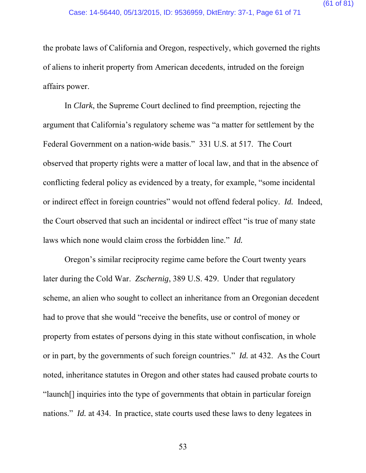the probate laws of California and Oregon, respectively, which governed the rights of aliens to inherit property from American decedents, intruded on the foreign affairs power.

In *Clark*, the Supreme Court declined to find preemption, rejecting the argument that California's regulatory scheme was "a matter for settlement by the Federal Government on a nation-wide basis." 331 U.S. at 517. The Court observed that property rights were a matter of local law, and that in the absence of conflicting federal policy as evidenced by a treaty, for example, "some incidental or indirect effect in foreign countries" would not offend federal policy. *Id.* Indeed, the Court observed that such an incidental or indirect effect "is true of many state laws which none would claim cross the forbidden line." *Id.* 

Oregon's similar reciprocity regime came before the Court twenty years later during the Cold War. *Zschernig*, 389 U.S. 429. Under that regulatory scheme, an alien who sought to collect an inheritance from an Oregonian decedent had to prove that she would "receive the benefits, use or control of money or property from estates of persons dying in this state without confiscation, in whole or in part, by the governments of such foreign countries." *Id.* at 432. As the Court noted, inheritance statutes in Oregon and other states had caused probate courts to "launch[] inquiries into the type of governments that obtain in particular foreign nations." *Id.* at 434. In practice, state courts used these laws to deny legatees in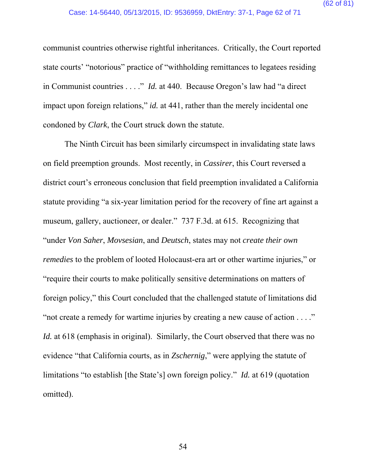communist countries otherwise rightful inheritances. Critically, the Court reported state courts' "notorious" practice of "withholding remittances to legatees residing in Communist countries . . . ." *Id.* at 440.Because Oregon's law had "a direct impact upon foreign relations," *id.* at 441, rather than the merely incidental one condoned by *Clark*, the Court struck down the statute.

The Ninth Circuit has been similarly circumspect in invalidating state laws on field preemption grounds. Most recently, in *Cassirer*, this Court reversed a district court's erroneous conclusion that field preemption invalidated a California statute providing "a six-year limitation period for the recovery of fine art against a museum, gallery, auctioneer, or dealer." 737 F.3d. at 615. Recognizing that "under *Von Saher*, *Movsesian*, and *Deutsch*, states may not *create their own remedies* to the problem of looted Holocaust-era art or other wartime injuries," or "require their courts to make politically sensitive determinations on matters of foreign policy," this Court concluded that the challenged statute of limitations did "not create a remedy for wartime injuries by creating a new cause of action . . . ." *Id.* at 618 (emphasis in original). Similarly, the Court observed that there was no evidence "that California courts, as in *Zschernig*," were applying the statute of limitations "to establish [the State's] own foreign policy." *Id.* at 619 (quotation omitted).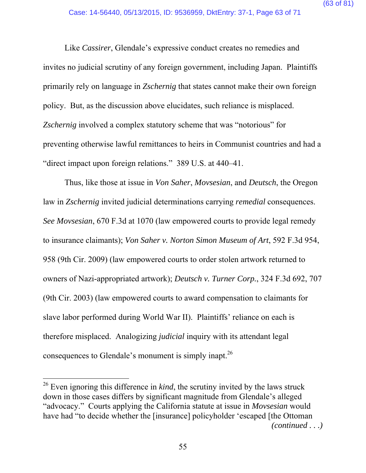Like *Cassirer*, Glendale's expressive conduct creates no remedies and invites no judicial scrutiny of any foreign government, including Japan. Plaintiffs primarily rely on language in *Zschernig* that states cannot make their own foreign policy. But, as the discussion above elucidates, such reliance is misplaced. *Zschernig* involved a complex statutory scheme that was "notorious" for preventing otherwise lawful remittances to heirs in Communist countries and had a "direct impact upon foreign relations." 389 U.S. at 440–41.

Thus, like those at issue in *Von Saher*, *Movsesian*, and *Deutsch*, the Oregon law in *Zschernig* invited judicial determinations carrying *remedial* consequences. *See Movsesian*, 670 F.3d at 1070 (law empowered courts to provide legal remedy to insurance claimants); *Von Saher v. Norton Simon Museum of Art*, 592 F.3d 954, 958 (9th Cir. 2009) (law empowered courts to order stolen artwork returned to owners of Nazi-appropriated artwork); *Deutsch v. Turner Corp.*, 324 F.3d 692, 707 (9th Cir. 2003) (law empowered courts to award compensation to claimants for slave labor performed during World War II). Plaintiffs' reliance on each is therefore misplaced. Analogizing *judicial* inquiry with its attendant legal consequences to Glendale's monument is simply inapt.<sup>26</sup>

<sup>&</sup>lt;sup>26</sup> Even ignoring this difference in *kind*, the scrutiny invited by the laws struck down in those cases differs by significant magnitude from Glendale's alleged "advocacy." Courts applying the California statute at issue in *Movsesian* would have had "to decide whether the [insurance] policyholder 'escaped [the Ottoman *(continued . . .)*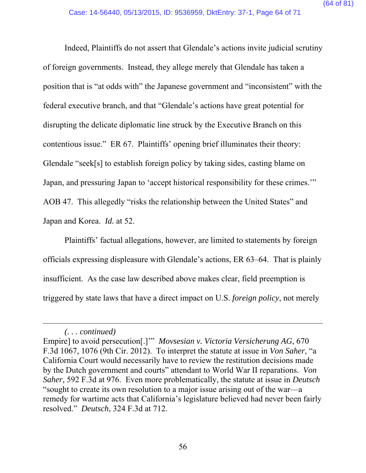Indeed, Plaintiffs do not assert that Glendale's actions invite judicial scrutiny of foreign governments. Instead, they allege merely that Glendale has taken a position that is "at odds with" the Japanese government and "inconsistent" with the federal executive branch, and that "Glendale's actions have great potential for disrupting the delicate diplomatic line struck by the Executive Branch on this contentious issue." ER 67. Plaintiffs' opening brief illuminates their theory: Glendale "seek[s] to establish foreign policy by taking sides, casting blame on Japan, and pressuring Japan to 'accept historical responsibility for these crimes.'" AOB 47. This allegedly "risks the relationship between the United States" and Japan and Korea. *Id.* at 52.

Plaintiffs' factual allegations, however, are limited to statements by foreign officials expressing displeasure with Glendale's actions, ER 63–64. That is plainly insufficient. As the case law described above makes clear, field preemption is triggered by state laws that have a direct impact on U.S. *foreign policy*, not merely

*<sup>(. . .</sup> continued)* 

Empire] to avoid persecution[.]'" *Movsesian v. Victoria Versicherung AG*, 670 F.3d 1067, 1076 (9th Cir. 2012). To interpret the statute at issue in *Von Saher*, "a California Court would necessarily have to review the restitution decisions made by the Dutch government and courts" attendant to World War II reparations. *Von Saher*, 592 F.3d at 976. Even more problematically, the statute at issue in *Deutsch* "sought to create its own resolution to a major issue arising out of the war—a remedy for wartime acts that California's legislature believed had never been fairly resolved." *Deutsch*, 324 F.3d at 712.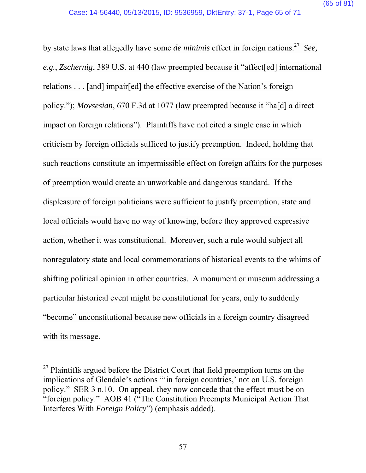by state laws that allegedly have some *de minimis* effect in foreign nations.27 *See, e.g.*, *Zschernig*, 389 U.S. at 440 (law preempted because it "affect[ed] international relations . . . [and] impair[ed] the effective exercise of the Nation's foreign policy."); *Movsesian*, 670 F.3d at 1077 (law preempted because it "ha[d] a direct impact on foreign relations").Plaintiffs have not cited a single case in which criticism by foreign officials sufficed to justify preemption. Indeed, holding that such reactions constitute an impermissible effect on foreign affairs for the purposes of preemption would create an unworkable and dangerous standard. If the displeasure of foreign politicians were sufficient to justify preemption, state and local officials would have no way of knowing, before they approved expressive action, whether it was constitutional. Moreover, such a rule would subject all nonregulatory state and local commemorations of historical events to the whims of shifting political opinion in other countries. A monument or museum addressing a particular historical event might be constitutional for years, only to suddenly "become" unconstitutional because new officials in a foreign country disagreed with its message.

 $27$  Plaintiffs argued before the District Court that field preemption turns on the implications of Glendale's actions "'in foreign countries,' not on U.S. foreign policy." SER 3 n.10. On appeal, they now concede that the effect must be on "foreign policy." AOB 41 ("The Constitution Preempts Municipal Action That Interferes With *Foreign Policy*") (emphasis added).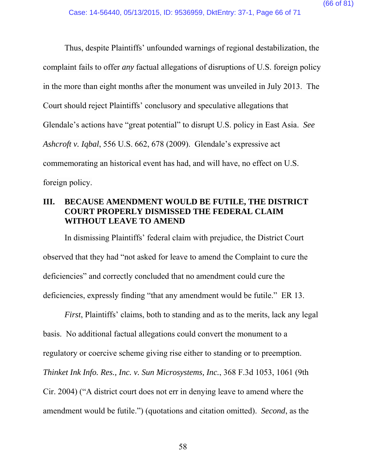Thus, despite Plaintiffs' unfounded warnings of regional destabilization, the complaint fails to offer *any* factual allegations of disruptions of U.S. foreign policy in the more than eight months after the monument was unveiled in July 2013. The Court should reject Plaintiffs' conclusory and speculative allegations that Glendale's actions have "great potential" to disrupt U.S. policy in East Asia. *See Ashcroft v. Iqbal*, 556 U.S. 662, 678 (2009). Glendale's expressive act commemorating an historical event has had, and will have, no effect on U.S. foreign policy.

# **III. BECAUSE AMENDMENT WOULD BE FUTILE, THE DISTRICT COURT PROPERLY DISMISSED THE FEDERAL CLAIM WITHOUT LEAVE TO AMEND**

In dismissing Plaintiffs' federal claim with prejudice, the District Court observed that they had "not asked for leave to amend the Complaint to cure the deficiencies" and correctly concluded that no amendment could cure the deficiencies, expressly finding "that any amendment would be futile." ER 13.

*First*, Plaintiffs' claims, both to standing and as to the merits, lack any legal basis. No additional factual allegations could convert the monument to a regulatory or coercive scheme giving rise either to standing or to preemption. *Thinket Ink Info. Res., Inc. v. Sun Microsystems, Inc.*, 368 F.3d 1053, 1061 (9th Cir. 2004) ("A district court does not err in denying leave to amend where the amendment would be futile.") (quotations and citation omitted). *Second*, as the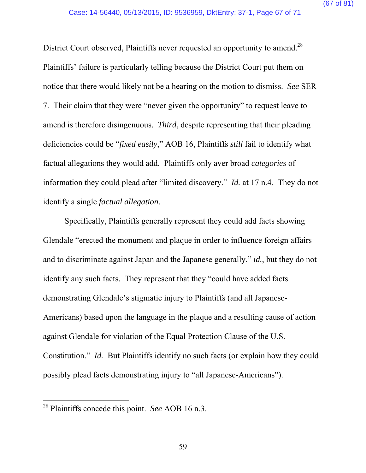District Court observed, Plaintiffs never requested an opportunity to amend.<sup>28</sup> Plaintiffs' failure is particularly telling because the District Court put them on notice that there would likely not be a hearing on the motion to dismiss. *See* SER 7. Their claim that they were "never given the opportunity" to request leave to amend is therefore disingenuous. *Third*, despite representing that their pleading deficiencies could be "*fixed easily*," AOB 16, Plaintiffs *still* fail to identify what factual allegations they would add. Plaintiffs only aver broad *categories* of information they could plead after "limited discovery." *Id.* at 17 n.4. They do not identify a single *factual allegation*.

Specifically, Plaintiffs generally represent they could add facts showing Glendale "erected the monument and plaque in order to influence foreign affairs and to discriminate against Japan and the Japanese generally," *id.*, but they do not identify any such facts. They represent that they "could have added facts demonstrating Glendale's stigmatic injury to Plaintiffs (and all Japanese-Americans) based upon the language in the plaque and a resulting cause of action against Glendale for violation of the Equal Protection Clause of the U.S. Constitution." *Id.* But Plaintiffs identify no such facts (or explain how they could possibly plead facts demonstrating injury to "all Japanese-Americans").

<sup>28</sup> Plaintiffs concede this point. *See* AOB 16 n.3.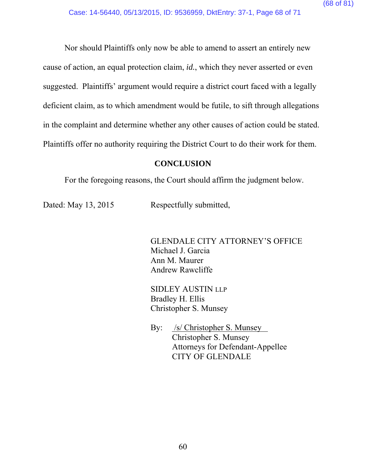Nor should Plaintiffs only now be able to amend to assert an entirely new cause of action, an equal protection claim, *id.*, which they never asserted or even suggested. Plaintiffs' argument would require a district court faced with a legally deficient claim, as to which amendment would be futile, to sift through allegations in the complaint and determine whether any other causes of action could be stated. Plaintiffs offer no authority requiring the District Court to do their work for them.

#### **CONCLUSION**

For the foregoing reasons, the Court should affirm the judgment below.

Dated: May 13, 2015 Respectfully submitted,

 GLENDALE CITY ATTORNEY'S OFFICE Michael J. Garcia Ann M. Maurer Andrew Rawcliffe

SIDLEY AUSTIN LLP Bradley H. Ellis Christopher S. Munsey

By: /s/ Christopher S. Munsey Christopher S. Munsey Attorneys for Defendant-Appellee CITY OF GLENDALE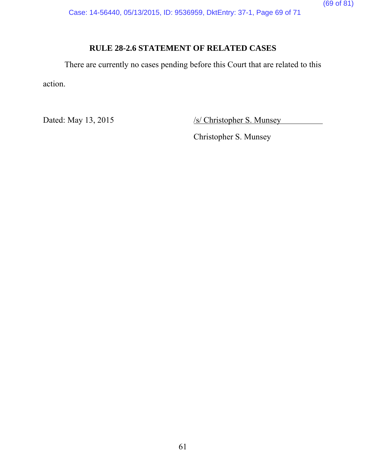Case: 14-56440, 05/13/2015, ID: 9536959, DktEntry: 37-1, Page 69 of 71

# **RULE 28-2.6 STATEMENT OF RELATED CASES**

There are currently no cases pending before this Court that are related to this action.

Dated: May 13, 2015 /s/ Christopher S. Munsey

Christopher S. Munsey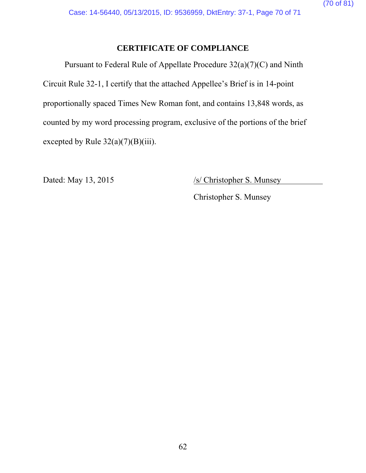# **CERTIFICATE OF COMPLIANCE**

Pursuant to Federal Rule of Appellate Procedure 32(a)(7)(C) and Ninth Circuit Rule 32-1, I certify that the attached Appellee's Brief is in 14-point proportionally spaced Times New Roman font, and contains 13,848 words, as counted by my word processing program, exclusive of the portions of the brief excepted by Rule  $32(a)(7)(B)(iii)$ .

Dated: May 13, 2015 /s/ Christopher S. Munsey

Christopher S. Munsey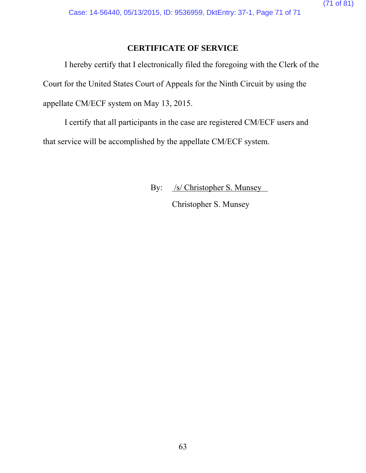# **CERTIFICATE OF SERVICE**

I hereby certify that I electronically filed the foregoing with the Clerk of the Court for the United States Court of Appeals for the Ninth Circuit by using the appellate CM/ECF system on May 13, 2015.

I certify that all participants in the case are registered CM/ECF users and that service will be accomplished by the appellate CM/ECF system.

By: /s/ Christopher S. Munsey

Christopher S. Munsey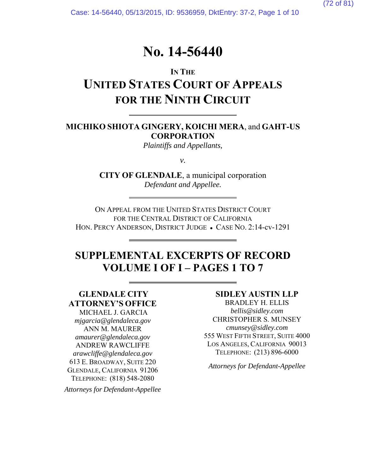Case: 14-56440, 05/13/2015, ID: 9536959, DktEntry: 37-2, Page 1 of 10

# **No. 14-56440**

# **IN THE UNITED STATES COURT OF APPEALS FOR THE NINTH CIRCUIT**

## **MICHIKO SHIOTA GINGERY, KOICHI MERA**, and **GAHT-US CORPORATION**

*Plaintiffs and Appellants,*

*v.* 

**CITY OF GLENDALE**, a municipal corporation *Defendant and Appellee.* 

ON APPEAL FROM THE UNITED STATES DISTRICT COURT FOR THE CENTRAL DISTRICT OF CALIFORNIA HON. PERCY ANDERSON, DISTRICT JUDGE • CASE NO. 2:14-cv-1291

# **SUPPLEMENTAL EXCERPTS OF RECORD VOLUME I OF I – PAGES 1 TO 7**

# **GLENDALE CITY ATTORNEY'S OFFICE**

l

 MICHAEL J. GARCIA *mjgarcia@glendaleca.gov* ANN M. MAURER *amaurer@glendaleca.gov*  ANDREW RAWCLIFFE *arawcliffe@glendaleca.gov* 613 E. BROADWAY, SUITE 220 GLENDALE, CALIFORNIA 91206 TELEPHONE: (818) 548-2080

*Attorneys for Defendant-Appellee*

#### **SIDLEY AUSTIN LLP**

BRADLEY H. ELLIS *bellis@sidley.com*  CHRISTOPHER S. MUNSEY *cmunsey@sidley.com* 555 WEST FIFTH STREET, SUITE 4000 LOS ANGELES, CALIFORNIA 90013 TELEPHONE: (213) 896-6000

*Attorneys for Defendant-Appellee*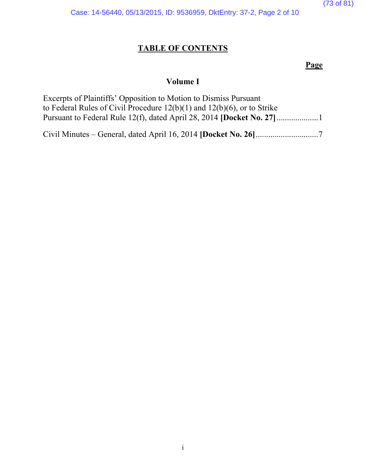(73 of 81)

Case: 14-56440, 05/13/2015, ID: 9536959, DktEntry: 37-2, Page 2 of 10

# **TABLE OF CONTENTS**

# **Page**

# **Volume I**

| Excerpts of Plaintiffs' Opposition to Motion to Dismiss Pursuant<br>to Federal Rules of Civil Procedure $12(b)(1)$ and $12(b)(6)$ , or to Strike |
|--------------------------------------------------------------------------------------------------------------------------------------------------|
|                                                                                                                                                  |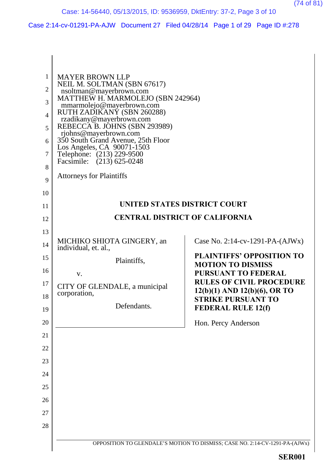(74 of 81)

Case 2:14-cv-01291-PA-AJW Document 27 Filed 04/28/14 Page 1 of 29 Page ID #:278

| 1<br>2<br>3<br>$\overline{4}$<br>5<br>6<br>7<br>8<br>9<br>10 | <b>MAYER BROWN LLP</b><br>NEIL M. SOLTMAN (SBN 67617)<br>nsoltman@mayerbrown.com<br>MATTHEW H. MARMOLEJO (SBN 242964)<br>mmarmolejo@mayerbrown.com<br>RUTH ZADIKANÝ (SBN 260288)<br>rzadikany@mayerbrown.com<br>REBECCA B. JOHNS (SBN 293989)<br>rjohns@mayerbrown.com<br>350 South Grand Avenue, 25th Floor<br>Los Angeles, CA 90071-1503<br>Telephone: (213) 229-9500<br>Facsimile: (213) 625-0248<br><b>Attorneys for Plaintiffs</b> |                                                                                           |
|--------------------------------------------------------------|-----------------------------------------------------------------------------------------------------------------------------------------------------------------------------------------------------------------------------------------------------------------------------------------------------------------------------------------------------------------------------------------------------------------------------------------|-------------------------------------------------------------------------------------------|
| 11                                                           |                                                                                                                                                                                                                                                                                                                                                                                                                                         | UNITED STATES DISTRICT COURT                                                              |
| 12                                                           |                                                                                                                                                                                                                                                                                                                                                                                                                                         | <b>CENTRAL DISTRICT OF CALIFORNIA</b>                                                     |
| 13                                                           |                                                                                                                                                                                                                                                                                                                                                                                                                                         |                                                                                           |
| 14                                                           | MICHIKO SHIOTA GINGERY, an<br>individual, et. al.,                                                                                                                                                                                                                                                                                                                                                                                      | Case No. 2:14-cv-1291-PA- $(AJWx)$                                                        |
| 15                                                           | Plaintiffs,                                                                                                                                                                                                                                                                                                                                                                                                                             | <b>PLAINTIFFS' OPPOSITION TO</b>                                                          |
| 16<br>17                                                     | V.<br>CITY OF GLENDALE, a municipal                                                                                                                                                                                                                                                                                                                                                                                                     | <b>MOTION TO DISMISS</b><br><b>PURSUANT TO FEDERAL</b><br><b>RULES OF CIVIL PROCEDURE</b> |
| 18                                                           | corporation,                                                                                                                                                                                                                                                                                                                                                                                                                            | $12(b)(1)$ AND $12(b)(6)$ , OR TO<br><b>STRIKE PURSUANT TO</b>                            |
| 19                                                           | Defendants.                                                                                                                                                                                                                                                                                                                                                                                                                             | <b>FEDERAL RULE 12(f)</b>                                                                 |
| 20                                                           |                                                                                                                                                                                                                                                                                                                                                                                                                                         | Hon. Percy Anderson                                                                       |
| 21                                                           |                                                                                                                                                                                                                                                                                                                                                                                                                                         |                                                                                           |
| 22                                                           |                                                                                                                                                                                                                                                                                                                                                                                                                                         |                                                                                           |
| 23                                                           |                                                                                                                                                                                                                                                                                                                                                                                                                                         |                                                                                           |
| 24                                                           |                                                                                                                                                                                                                                                                                                                                                                                                                                         |                                                                                           |
| 25                                                           |                                                                                                                                                                                                                                                                                                                                                                                                                                         |                                                                                           |
| 26                                                           |                                                                                                                                                                                                                                                                                                                                                                                                                                         |                                                                                           |
| 27                                                           |                                                                                                                                                                                                                                                                                                                                                                                                                                         |                                                                                           |
| 28                                                           |                                                                                                                                                                                                                                                                                                                                                                                                                                         |                                                                                           |
|                                                              |                                                                                                                                                                                                                                                                                                                                                                                                                                         | OPPOSITION TO GLENDALE'S MOTION TO DISMISS; CASE NO. 2:14-CV-1291-PA-(AJWx)               |
|                                                              |                                                                                                                                                                                                                                                                                                                                                                                                                                         | <b>SER001</b>                                                                             |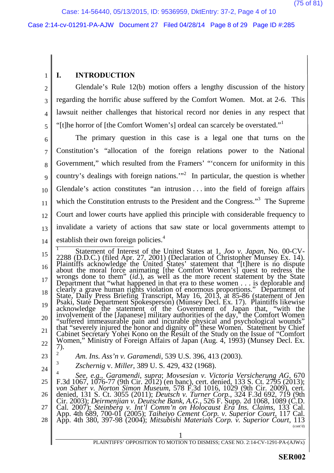#### Case 2:14-cv-01291-PA-AJW Document 27 Filed 04/28/14 Page 8 of 29 Page ID #:285

### **I. INTRODUCTION**

1

2 3 4 5 Glendale's Rule 12(b) motion offers a lengthy discussion of the history regarding the horrific abuse suffered by the Comfort Women. Mot. at 2-6. This lawsuit neither challenges that historical record nor denies in any respect that "[t]he horror of [the Comfort Women's] ordeal can scarcely be overstated."<sup>1</sup>

6 7 8 9 10 11 12 13 14 The primary question in this case is a legal one that turns on the Constitution's "allocation of the foreign relations power to the National Government," which resulted from the Framers' "'concern for uniformity in this country's dealings with foreign nations."<sup>2</sup> In particular, the question is whether Glendale's action constitutes "an intrusion . . . into the field of foreign affairs which the Constitution entrusts to the President and the Congress."<sup>3</sup> The Supreme Court and lower courts have applied this principle with considerable frequency to invalidate a variety of actions that saw state or local governments attempt to establish their own foreign policies.<sup>4</sup>

15 16 17 18 19 20 21 22 23 <sup>1</sup> Statement of Interest of the United States at 1, *Joo v. Japan*, No. 00-CV-2288 (D.D.C.) (filed Apr. 27, 2001) (Declaration of Christopher Munsey Ex. 14). Plaintiffs acknowledge the United States' statement that "[t]here is no dispute about the moral force animating [the Comfort Women's] quest to redress the wrongs done to them" (*id*.), as well as the more recent statement by the State Department that "what happened in that era to these women  $\dots$  is deplorable and clearly a grave human rights violation of enormous proportions." Department of State, Daily Press Briefing Transcript, May 16, 2013, at 85-86 (statement of Jen Psaki, State Department Spokesperson) (Munsey Decl. Ex. 17). Plaintiffs likewise acknowledge the statement of the Government of Japan that, "with the involvement of the [Japanese] military authorities of the day," the Comfort Women "suffered immeasurable pain and incurable physical and psychological wounds" that "severely injured the honor and dignity of" these Women. Statement by Chief Cabinet Secretary Yohei Kono on the Result of the Study on the Issue of "Comfort Women," Ministry of Foreign Affairs of Japan (Aug. 4, 1993) (Munsey Decl. Ex. | 7). <sup>2</sup> *Am. Ins. Ass'n v. Garamendi*, 539 U.S. 396, 413 (2003).

24 3 *Zschernig* v. *Miller*, 389 U. S. 429, 432 (1968).

1 25 26 27 28 4 *See, e.g.*, *Garamendi*, *supra*; *Movsesian v. Victoria Versicherung AG*, 670 F.3d 1067, 1076-77 (9th Cir. 2012) (en banc), cert. denied, 133 S. Ct. 2795 (2013); *von Saher v. Norton Simon Museum*, 578 F.3d 1016, 1029 (9th Cir. 2009), cert. denied, 131 S. Ct. 3055 (2011); *Deutsch v. Turner Corp.*, 324 F.3d 692, 719 (9th Cir. 2003); *Deirmenjian v. Deutsche Bank*, *A.G.*, 526 F. Supp. 2d 1068, 1089 (C.D. Cal. 2007); *Steinberg v. Int'l Comm'n on Holocaust Era Ins. Claims*, 133 Cal. App. 4th 689, 700-01 (2005); *Taiheiyo Cement Corp. v*. *Superior Court*, 117 Cal. App. 4th 380, 397-98 (2004); *Mitsubishi Materials Corp. v. Superior Court*, 113 (cont'd)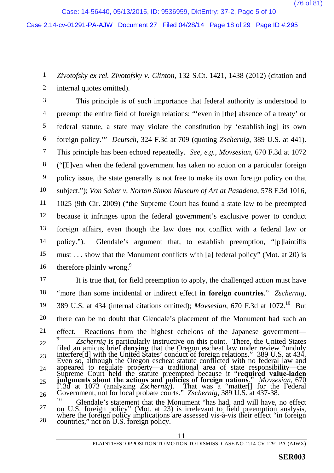Case: 14-56440, 05/13/2015, ID: 9536959, DktEntry: 37-2, Page 5 of 10

#### Case 2:14-cv-01291-PA-AJW Document 27 Filed 04/28/14 Page 18 of 29 Page ID #:295

1 2 *Zivotofsky ex rel. Zivotofsky v. Clinton*, 132 S.Ct. 1421, 1438 (2012) (citation and internal quotes omitted).

3 4 5 6 7 8 9 10 11 12 13 14 15 16 This principle is of such importance that federal authority is understood to preempt the entire field of foreign relations: "'even in [the] absence of a treaty' or federal statute, a state may violate the constitution by 'establish[ing] its own foreign policy.'" *Deutsch*, 324 F.3d at 709 (quoting *Zschernig*, 389 U.S. at 441). This principle has been echoed repeatedly. *See, e.g.*, *Movsesian*, 670 F.3d at 1072 ("[E]ven when the federal government has taken no action on a particular foreign policy issue, the state generally is not free to make its own foreign policy on that subject."); *Von Saher v. Norton Simon Museum of Art at Pasadena*, 578 F.3d 1016, 1025 (9th Cir. 2009) ("the Supreme Court has found a state law to be preempted because it infringes upon the federal government's exclusive power to conduct foreign affairs, even though the law does not conflict with a federal law or policy."). Glendale's argument that, to establish preemption, "[p]laintiffs must . . . show that the Monument conflicts with [a] federal policy" (Mot. at 20) is therefore plainly wrong.<sup>9</sup>

17

18 19 20 21 22 23 24 25 26 27 It is true that, for field preemption to apply, the challenged action must have "more than some incidental or indirect effect **in foreign countries**." *Zschernig*, 389 U.S. at 434 (internal citations omitted); *Movsesian*, 670 F.3d at 1072.<sup>10</sup> But there can be no doubt that Glendale's placement of the Monument had such an effect. Reactions from the highest echelons of the Japanese government— <sup>9</sup> *Zschernig* is particularly instructive on this point. There, the United States filed an amicus brief **denying** that the Oregon escheat law under review "unduly interfere[d] with the United States' conduct of foreign relations." 389 U.S. at 434. Even so, although the Oregon escheat statute conflicted with no federal law and appeared to regulate property—a traditional area of state responsibility—the Supreme Court held the statute preempted because it "**required value-laden judgments about the actions and policies of foreign nations**." *Movsesian*, 670 F.3d at 1073 (analyzing *Zschernig*). That was a "matter[] for the Federal Government, not for local probate courts." *Zschernig*, 389 U.S. at 437-38. <sup>10</sup> Glendale's statement that the Monument "has had, and will have, no effect on U.S. foreign policy" (Mot. at 23) is irrelevant to field preemption analysis,

28 where the foreign policy implications are assessed vis-à-vis their effect "in foreign countries," not on U.S. foreign policy.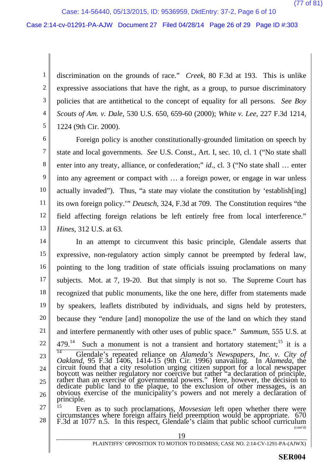Case: 14-56440, 05/13/2015, ID: 9536959, DktEntry: 37-2, Page 6 of 10

#### Case 2:14-cv-01291-PA-AJW Document 27 Filed 04/28/14 Page 26 of 29 Page ID #:303

1 2 3 4 5 discrimination on the grounds of race." *Creek*, 80 F.3d at 193. This is unlike expressive associations that have the right, as a group, to pursue discriminatory policies that are antithetical to the concept of equality for all persons. *See Boy Scouts of Am. v. Dale*, 530 U.S. 650, 659-60 (2000); *White v. Lee*, 227 F.3d 1214, 1224 (9th Cir. 2000).

6 7 8 9 10 11 12 13 Foreign policy is another constitutionally-grounded limitation on speech by state and local governments. *See* U.S. Const., Art. I, sec. 10, cl. 1 ("No state shall enter into any treaty, alliance, or confederation;" *id*., cl. 3 ("No state shall … enter into any agreement or compact with … a foreign power, or engage in war unless actually invaded"). Thus, "a state may violate the constitution by 'establish[ing] its own foreign policy.'" *Deutsch*, 324, F.3d at 709. The Constitution requires "the field affecting foreign relations be left entirely free from local interference." *Hines*, 312 U.S. at 63.

14 15 16 17 18 19 20 21 22 23 24 25 26 27 In an attempt to circumvent this basic principle, Glendale asserts that expressive, non-regulatory action simply cannot be preempted by federal law, pointing to the long tradition of state officials issuing proclamations on many subjects. Mot. at 7, 19-20. But that simply is not so. The Supreme Court has recognized that public monuments, like the one here, differ from statements made by speakers, leaflets distributed by individuals, and signs held by protesters, because they "endure [and] monopolize the use of the land on which they stand and interfere permanently with other uses of public space." *Summum*, 555 U.S. at 479.<sup>14</sup> Such a monument is not a transient and hortatory statement;<sup>15</sup> it is a <sup>14</sup> Glendale's repeated reliance on *Alameda's Newspapers, Inc. v. City of Oakland*, 95 F.3d 1406, 1414-15 (9th Cir. 1996) unavailing. In *Alameda*, the circuit found that a city resolution urging citizen support for a local newspaper boycott was neither regulatory nor coercive but rather "a declaration of principle, rather than an exercise of governmental powers." Here, however, the decision to dedicate public land to the plaque, to the exclusion of other messages, is an obvious exercise of the municipality's powers and not merely a declaration of principle. <sup>15</sup> Even as to such proclamations, *Movsesian* left open whether there were

28 circumstances where foreign affairs field preemption would be appropriate. 670 F.3d at 1077 n.5. In this respect, Glendale's claim that public school curriculum (cont'd)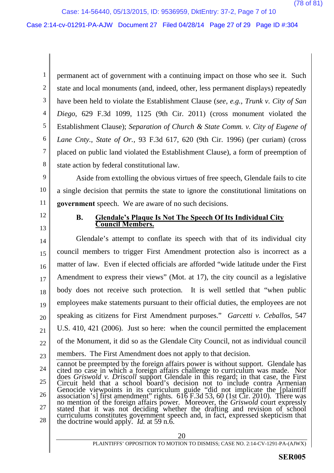Case: 14-56440, 05/13/2015, ID: 9536959, DktEntry: 37-2, Page 7 of 10

Case 2:14-cv-01291-PA-AJW Document 27 Filed 04/28/14 Page 27 of 29 Page ID #:304

1 2 3 4 5 6 7 8 permanent act of government with a continuing impact on those who see it. Such state and local monuments (and, indeed, other, less permanent displays) repeatedly have been held to violate the Establishment Clause (*see*, *e.g.*, *Trunk v. City of San Diego*, 629 F.3d 1099, 1125 (9th Cir. 2011) (cross monument violated the Establishment Clause); *Separation of Church & State Comm. v. City of Eugene of Lane Cnty., State of Or.*, 93 F.3d 617, 620 (9th Cir. 1996) (per curiam) (cross placed on public land violated the Establishment Clause), a form of preemption of state action by federal constitutional law.

9 10 11 Aside from extolling the obvious virtues of free speech, Glendale fails to cite a single decision that permits the state to ignore the constitutional limitations on **government** speech. We are aware of no such decisions.

12 13

#### **B. Glendale's Plaque Is Not The Speech Of Its Individual City Council Members.**

14 15 16 17 18 19 20 21 22 23 Glendale's attempt to conflate its speech with that of its individual city council members to trigger First Amendment protection also is incorrect as a matter of law. Even if elected officials are afforded "wide latitude under the First Amendment to express their views" (Mot. at 17), the city council as a legislative body does not receive such protection. It is well settled that "when public employees make statements pursuant to their official duties, the employees are not speaking as citizens for First Amendment purposes." *Garcetti v. Ceballos*, 547 U.S. 410, 421 (2006). Just so here: when the council permitted the emplacement of the Monument, it did so as the Glendale City Council, not as individual council members. The First Amendment does not apply to that decision.

<sup>24</sup> 25 26 27 28 cannot be preempted by the foreign affairs power is without support. Glendale has cited no case in which a foreign affairs challenge to curriculum was made. Nor does *Griswold v. Driscoll* support Glendale in this regard; in that case, the First Circuit held that a school board's decision not to include contra Armenian Genocide viewpoints in its curriculum guide "did not implicate the [plaintiff association's] first amendment" rights.  $616$  F.3d 53, 60 (1st Cir. 2010). There was  $\parallel$ no mention of the foreign affairs power. Moreover, the *Griswold* court expressly stated that it was not deciding whether the drafting and revision of school curriculums constitutes government speech and, in fact, expressed skepticism that the doctrine would apply. *Id.* at 59 n.6.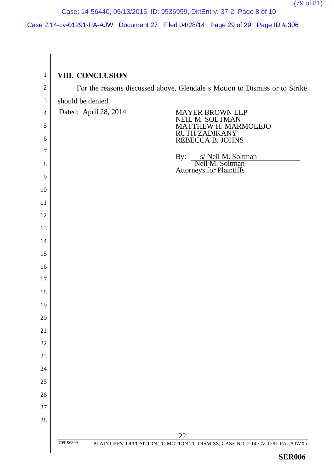(79 of 81)

# Case: 14-56440, 05/13/2015, ID: 9536959, DktEntry: 37-2, Page 8 of 10

## Case 2:14-cv-01291-PA-AJW Document 27 Filed 04/28/14 Page 29 of 29 Page ID #:306

| $\mathbf{1}$   | VIII. CONCLUSION                                                                                |  |  |  |  |  |  |
|----------------|-------------------------------------------------------------------------------------------------|--|--|--|--|--|--|
| $\mathbf{2}$   | For the reasons discussed above, Glendale's Motion to Dismiss or to Strike                      |  |  |  |  |  |  |
| $\mathfrak{Z}$ | should be denied.                                                                               |  |  |  |  |  |  |
| $\overline{4}$ | Dated: April 28, 2014<br><b>MAYER BROWN LLP</b><br>EIL M. SOLTMAN                               |  |  |  |  |  |  |
| 5              | <b>IEW H. MARMOLEJO</b>                                                                         |  |  |  |  |  |  |
| 6              | <b>RUTH ZADIKANY</b><br>REBECCA B. JOHNS                                                        |  |  |  |  |  |  |
| 7              | By:                                                                                             |  |  |  |  |  |  |
| $8\,$          | s/ Neil M. Soltman<br>Neil M. Soltman<br><b>Attorneys for Plaintiffs</b>                        |  |  |  |  |  |  |
| 9              |                                                                                                 |  |  |  |  |  |  |
| 10             |                                                                                                 |  |  |  |  |  |  |
| 11             |                                                                                                 |  |  |  |  |  |  |
| 12             |                                                                                                 |  |  |  |  |  |  |
| 13             |                                                                                                 |  |  |  |  |  |  |
| 14             |                                                                                                 |  |  |  |  |  |  |
| 15             |                                                                                                 |  |  |  |  |  |  |
| 16             |                                                                                                 |  |  |  |  |  |  |
| 17             |                                                                                                 |  |  |  |  |  |  |
| 18             |                                                                                                 |  |  |  |  |  |  |
| 19             |                                                                                                 |  |  |  |  |  |  |
| 20             |                                                                                                 |  |  |  |  |  |  |
| 21             |                                                                                                 |  |  |  |  |  |  |
| 22             |                                                                                                 |  |  |  |  |  |  |
| 23             |                                                                                                 |  |  |  |  |  |  |
| 24             |                                                                                                 |  |  |  |  |  |  |
| 25             |                                                                                                 |  |  |  |  |  |  |
| 26             |                                                                                                 |  |  |  |  |  |  |
| $27\,$         |                                                                                                 |  |  |  |  |  |  |
| 28             |                                                                                                 |  |  |  |  |  |  |
|                | 22<br>PLAINTIFFS' OPPOSITION TO MOTION TO DISMISS; CASE NO. 2:14-CV-1291-PA-(AJWX)<br>709196899 |  |  |  |  |  |  |
|                |                                                                                                 |  |  |  |  |  |  |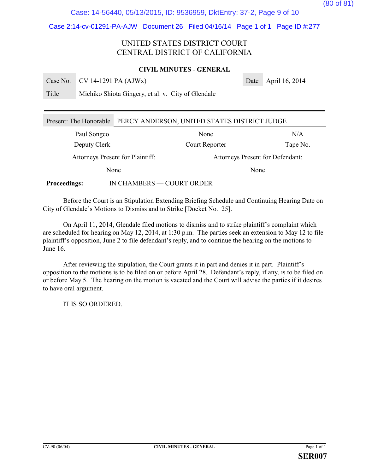## Case: 14-56440, 05/13/2015, ID: 9536959, DktEntry: 37-2, Page 9 of 10

### Case 2:14-cv-01291-PA-AJW Document 26 Filed 04/16/14 Page 1 of 1 Page ID #:277

### UNITED STATES DISTRICT COURT CENTRAL DISTRICT OF CALIFORNIA

### **CIVIL MINUTES - GENERAL**

|       | Case No. CV 14-1291 PA $(AJWx)$                    | Date April 16, 2014 |
|-------|----------------------------------------------------|---------------------|
| Title | Michiko Shiota Gingery, et al. v. City of Glendale |                     |
|       |                                                    |                     |

| Present: The Honorable                           | PERCY ANDERSON, UNITED STATES DISTRICT JUDGE |                                  |          |  |
|--------------------------------------------------|----------------------------------------------|----------------------------------|----------|--|
| Paul Songco                                      |                                              | None                             | N/A      |  |
| Deputy Clerk                                     |                                              | Court Reporter                   | Tape No. |  |
| Attorneys Present for Plaintiff:                 |                                              | Attorneys Present for Defendant: |          |  |
| None                                             |                                              |                                  | None     |  |
| IN CHAMBERS — COURT ORDER<br><b>Proceedings:</b> |                                              |                                  |          |  |

Before the Court is an Stipulation Extending Briefing Schedule and Continuing Hearing Date on City of Glendale's Motions to Dismiss and to Strike [Docket No. 25].

On April 11, 2014, Glendale filed motions to dismiss and to strike plaintiff's complaint which are scheduled for hearing on May 12, 2014, at 1:30 p.m. The parties seek an extension to May 12 to file plaintiff's opposition, June 2 to file defendant's reply, and to continue the hearing on the motions to June 16.

After reviewing the stipulation, the Court grants it in part and denies it in part. Plaintiff's opposition to the motions is to be filed on or before April 28. Defendant's reply, if any, is to be filed on or before May 5. The hearing on the motion is vacated and the Court will advise the parties if it desires to have oral argument.

IT IS SO ORDERED.